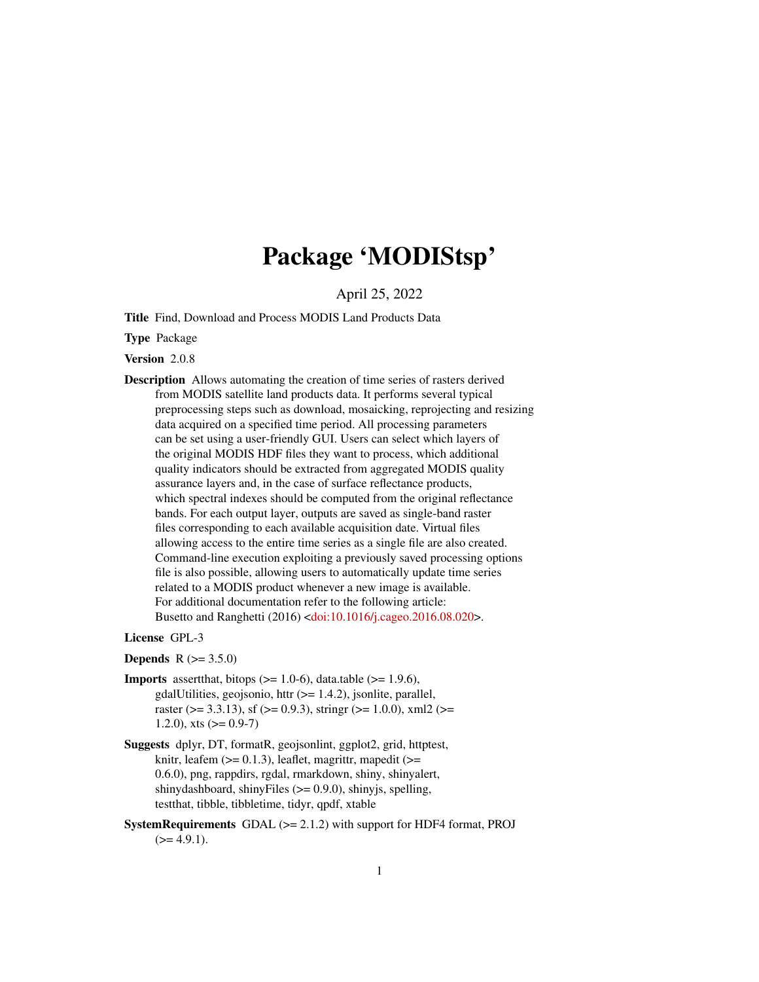# Package 'MODIStsp'

April 25, 2022

<span id="page-0-0"></span>Title Find, Download and Process MODIS Land Products Data

Type Package

Version 2.0.8

Description Allows automating the creation of time series of rasters derived from MODIS satellite land products data. It performs several typical preprocessing steps such as download, mosaicking, reprojecting and resizing data acquired on a specified time period. All processing parameters can be set using a user-friendly GUI. Users can select which layers of the original MODIS HDF files they want to process, which additional quality indicators should be extracted from aggregated MODIS quality assurance layers and, in the case of surface reflectance products, which spectral indexes should be computed from the original reflectance bands. For each output layer, outputs are saved as single-band raster files corresponding to each available acquisition date. Virtual files allowing access to the entire time series as a single file are also created. Command-line execution exploiting a previously saved processing options file is also possible, allowing users to automatically update time series related to a MODIS product whenever a new image is available. For additional documentation refer to the following article: Busetto and Ranghetti (2016) [<doi:10.1016/j.cageo.2016.08.020>](https://doi.org/10.1016/j.cageo.2016.08.020).

License GPL-3

**Depends** R  $(>= 3.5.0)$ 

- **Imports** assert that, bitops  $(>= 1.0-6)$ , data.table  $(>= 1.9.6)$ , gdalUtilities, geojsonio, httr (>= 1.4.2), jsonlite, parallel, raster ( $>$ = 3.3.13), sf ( $>$ = 0.9.3), stringr ( $>$ = 1.0.0), xml2 ( $>$ = 1.2.0), xts  $(>= 0.9 - 7)$
- Suggests dplyr, DT, formatR, geojsonlint, ggplot2, grid, httptest, knitr, leafem  $(>= 0.1.3)$ , leaflet, magrittr, mapedit  $(>= 1.3)$ 0.6.0), png, rappdirs, rgdal, rmarkdown, shiny, shinyalert, shinydashboard, shinyFiles (>= 0.9.0), shinyjs, spelling, testthat, tibble, tibbletime, tidyr, qpdf, xtable
- SystemRequirements GDAL (>= 2.1.2) with support for HDF4 format, PROJ  $(>= 4.9.1).$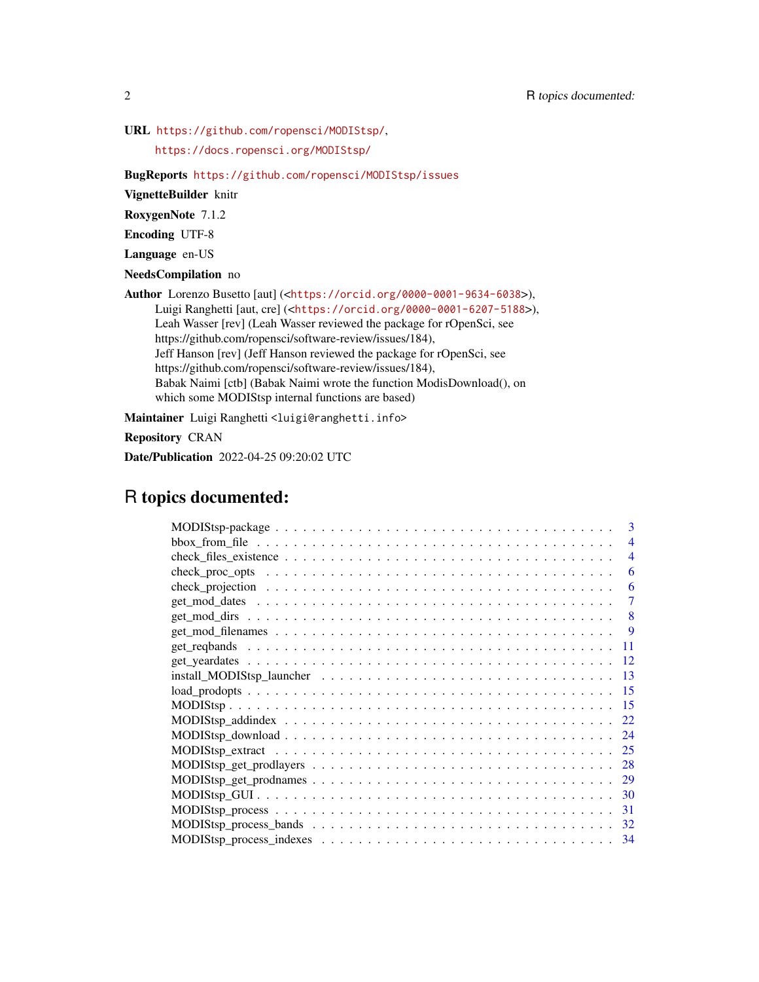URL <https://github.com/ropensci/MODIStsp/>,

<https://docs.ropensci.org/MODIStsp/>

BugReports <https://github.com/ropensci/MODIStsp/issues>

VignetteBuilder knitr

RoxygenNote 7.1.2

Encoding UTF-8

Language en-US

NeedsCompilation no

Author Lorenzo Busetto [aut] (<<https://orcid.org/0000-0001-9634-6038>>), Luigi Ranghetti [aut, cre] (<<https://orcid.org/0000-0001-6207-5188>>), Leah Wasser [rev] (Leah Wasser reviewed the package for rOpenSci, see https://github.com/ropensci/software-review/issues/184), Jeff Hanson [rev] (Jeff Hanson reviewed the package for rOpenSci, see https://github.com/ropensci/software-review/issues/184), Babak Naimi [ctb] (Babak Naimi wrote the function ModisDownload(), on which some MODIStsp internal functions are based)

Maintainer Luigi Ranghetti <luigi@ranghetti.info>

Repository CRAN

Date/Publication 2022-04-25 09:20:02 UTC

# R topics documented:

| 3                        |
|--------------------------|
| $\overline{\mathcal{A}}$ |
| 4                        |
| 6                        |
| 6                        |
| 7                        |
| 8                        |
| <b>9</b>                 |
| 11                       |
| 12                       |
| 13                       |
| 15                       |
| 15                       |
| 22                       |
| 24                       |
| 25                       |
| 28                       |
| 29                       |
| 30                       |
| 31                       |
| 32                       |
| 34                       |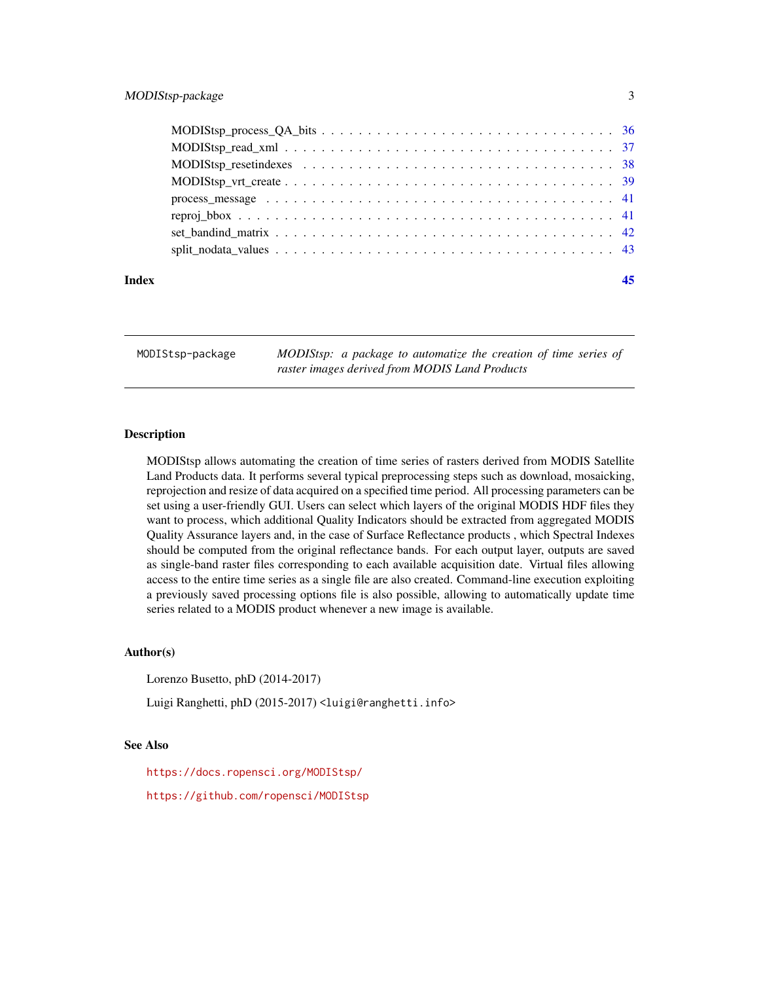<span id="page-2-0"></span>

| Index |  |
|-------|--|

MODIStsp-package *MODIStsp: a package to automatize the creation of time series of raster images derived from MODIS Land Products*

#### **Description**

MODIStsp allows automating the creation of time series of rasters derived from MODIS Satellite Land Products data. It performs several typical preprocessing steps such as download, mosaicking, reprojection and resize of data acquired on a specified time period. All processing parameters can be set using a user-friendly GUI. Users can select which layers of the original MODIS HDF files they want to process, which additional Quality Indicators should be extracted from aggregated MODIS Quality Assurance layers and, in the case of Surface Reflectance products , which Spectral Indexes should be computed from the original reflectance bands. For each output layer, outputs are saved as single-band raster files corresponding to each available acquisition date. Virtual files allowing access to the entire time series as a single file are also created. Command-line execution exploiting a previously saved processing options file is also possible, allowing to automatically update time series related to a MODIS product whenever a new image is available.

## Author(s)

Lorenzo Busetto, phD (2014-2017)

Luigi Ranghetti, phD (2015-2017) <luigi@ranghetti.info>

#### See Also

<https://docs.ropensci.org/MODIStsp/> <https://github.com/ropensci/MODIStsp>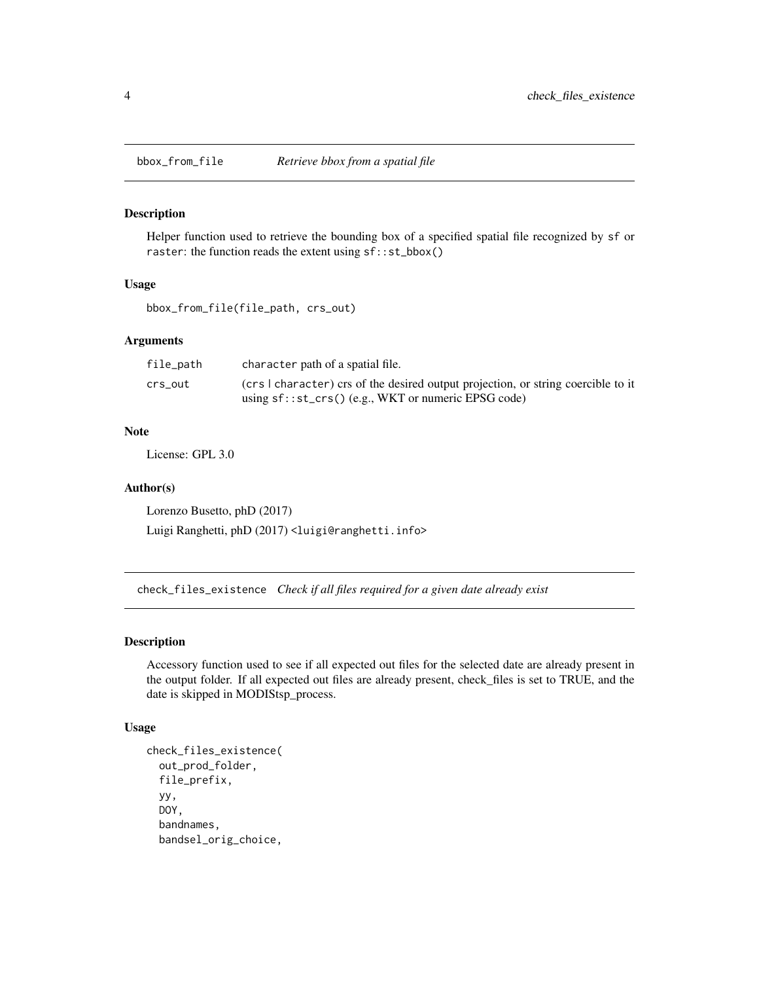<span id="page-3-0"></span>

#### Description

Helper function used to retrieve the bounding box of a specified spatial file recognized by sf or raster: the function reads the extent using sf::st\_bbox()

# Usage

bbox\_from\_file(file\_path, crs\_out)

# Arguments

| file_path | character path of a spatial file.                                                 |
|-----------|-----------------------------------------------------------------------------------|
| crs out   | (crs I character) crs of the desired output projection, or string coercible to it |
|           | using $sf::st\_crs()$ (e.g., WKT or numeric EPSG code)                            |

# Note

License: GPL 3.0

#### Author(s)

Lorenzo Busetto, phD (2017) Luigi Ranghetti, phD (2017) <luigi@ranghetti.info>

check\_files\_existence *Check if all files required for a given date already exist*

# Description

Accessory function used to see if all expected out files for the selected date are already present in the output folder. If all expected out files are already present, check\_files is set to TRUE, and the date is skipped in MODIStsp\_process.

#### Usage

```
check_files_existence(
  out_prod_folder,
  file_prefix,
  yy,
  DOY,
  bandnames,
  bandsel_orig_choice,
```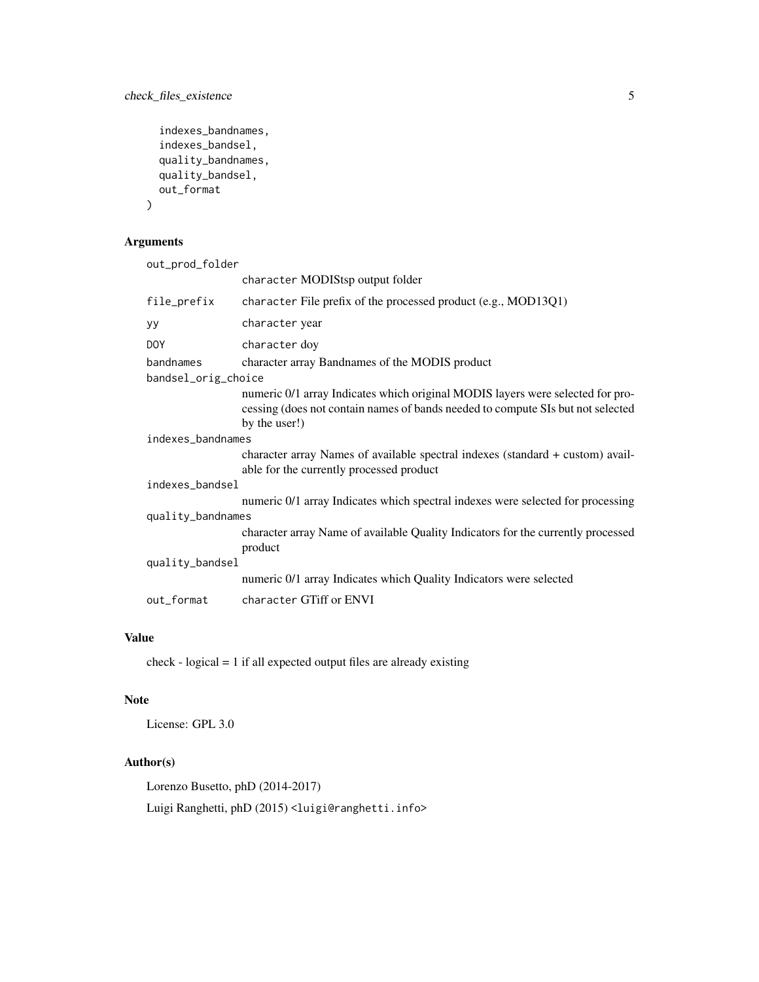check\_files\_existence 5

```
indexes_bandnames,
indexes_bandsel,
quality_bandnames,
quality_bandsel,
out_format
```
# Arguments

 $\overline{\phantom{a}}$ 

| out_prod_folder     |                                                                                                                                                                                    |  |
|---------------------|------------------------------------------------------------------------------------------------------------------------------------------------------------------------------------|--|
|                     | character MODIStsp output folder                                                                                                                                                   |  |
| file_prefix         | character File prefix of the processed product (e.g., MOD13Q1)                                                                                                                     |  |
| уу                  | character year                                                                                                                                                                     |  |
| <b>DOY</b>          | character doy                                                                                                                                                                      |  |
| bandnames           | character array Bandnames of the MODIS product                                                                                                                                     |  |
| bandsel_orig_choice |                                                                                                                                                                                    |  |
|                     | numeric 0/1 array Indicates which original MODIS layers were selected for pro-<br>cessing (does not contain names of bands needed to compute SIs but not selected<br>by the user!) |  |
| indexes_bandnames   |                                                                                                                                                                                    |  |
|                     | character array Names of available spectral indexes (standard + custom) avail-<br>able for the currently processed product                                                         |  |
| indexes_bandsel     |                                                                                                                                                                                    |  |
|                     | numeric 0/1 array Indicates which spectral indexes were selected for processing                                                                                                    |  |
| quality_bandnames   |                                                                                                                                                                                    |  |
|                     | character array Name of available Quality Indicators for the currently processed<br>product                                                                                        |  |
| quality_bandsel     |                                                                                                                                                                                    |  |
|                     | numeric 0/1 array Indicates which Quality Indicators were selected                                                                                                                 |  |
| out_format          | character GTiff or ENVI                                                                                                                                                            |  |

# Value

check - logical = 1 if all expected output files are already existing

# Note

License: GPL 3.0

# Author(s)

Lorenzo Busetto, phD (2014-2017)

Luigi Ranghetti, phD (2015) <luigi@ranghetti.info>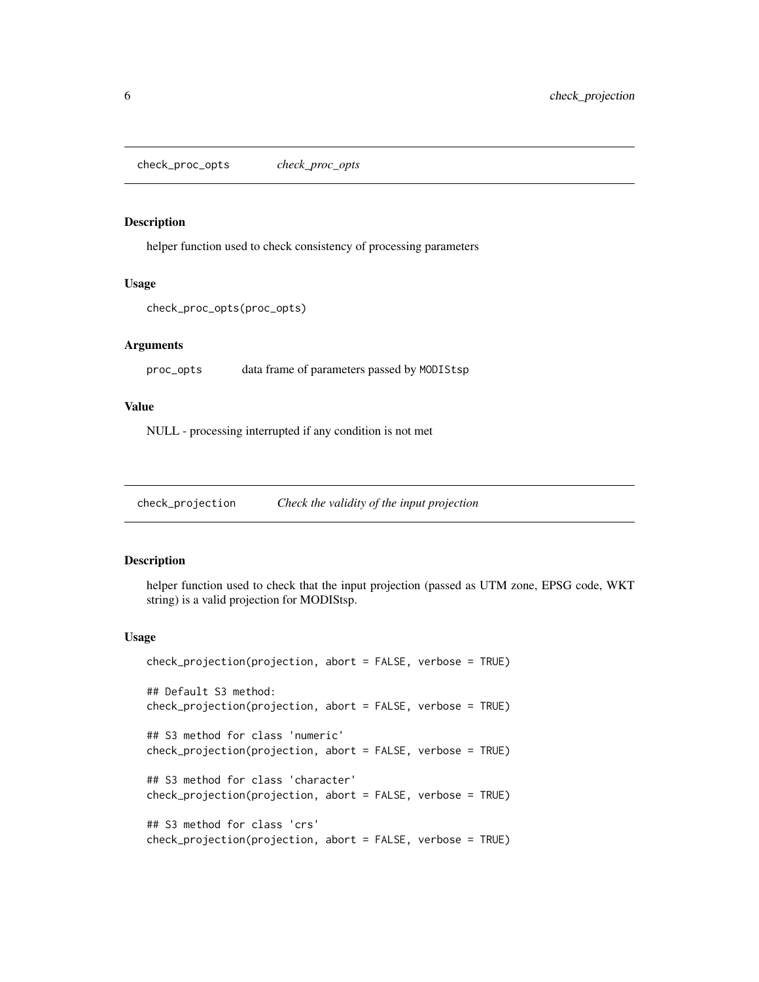<span id="page-5-0"></span>check\_proc\_opts *check\_proc\_opts*

#### Description

helper function used to check consistency of processing parameters

#### Usage

```
check_proc_opts(proc_opts)
```
#### Arguments

proc\_opts data frame of parameters passed by MODIStsp

# Value

NULL - processing interrupted if any condition is not met

check\_projection *Check the validity of the input projection*

# Description

helper function used to check that the input projection (passed as UTM zone, EPSG code, WKT string) is a valid projection for MODIStsp.

#### Usage

```
check_projection(projection, abort = FALSE, verbose = TRUE)
## Default S3 method:
check_projection(projection, abort = FALSE, verbose = TRUE)
## S3 method for class 'numeric'
check_projection(projection, abort = FALSE, verbose = TRUE)
## S3 method for class 'character'
check_projection(projection, abort = FALSE, verbose = TRUE)
## S3 method for class 'crs'
check_projection(projection, abort = FALSE, verbose = TRUE)
```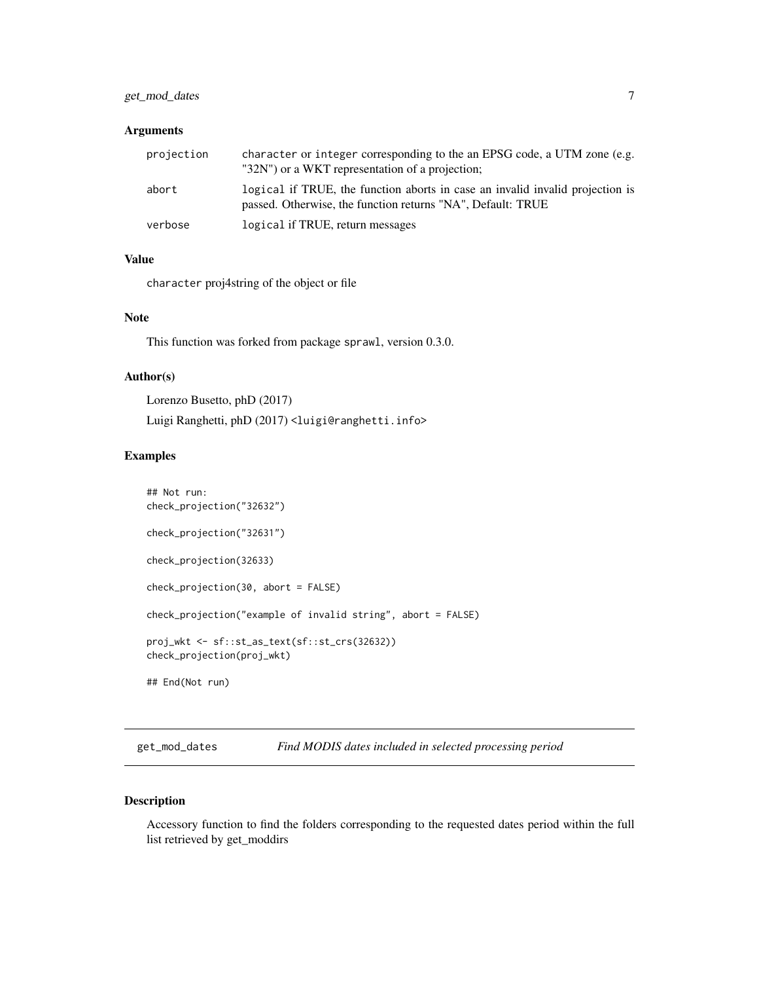# <span id="page-6-0"></span>get\_mod\_dates 7

# Arguments

| projection | character or integer corresponding to the an EPSG code, a UTM zone (e.g.<br>"32N") or a WKT representation of a projection;                  |
|------------|----------------------------------------------------------------------------------------------------------------------------------------------|
| abort      | logical if TRUE, the function aborts in case an invalid invalid projection is<br>passed. Otherwise, the function returns "NA", Default: TRUE |
| verbose    | logical if TRUE, return messages                                                                                                             |

# Value

character proj4string of the object or file

#### **Note**

This function was forked from package sprawl, version 0.3.0.

# Author(s)

Lorenzo Busetto, phD (2017)

Luigi Ranghetti, phD (2017) <luigi@ranghetti.info>

#### Examples

```
## Not run:
check_projection("32632")
check_projection("32631")
check_projection(32633)
check_projection(30, abort = FALSE)
check_projection("example of invalid string", abort = FALSE)
proj_wkt <- sf::st_as_text(sf::st_crs(32632))
check_projection(proj_wkt)
## End(Not run)
```
get\_mod\_dates *Find MODIS dates included in selected processing period*

#### Description

Accessory function to find the folders corresponding to the requested dates period within the full list retrieved by get\_moddirs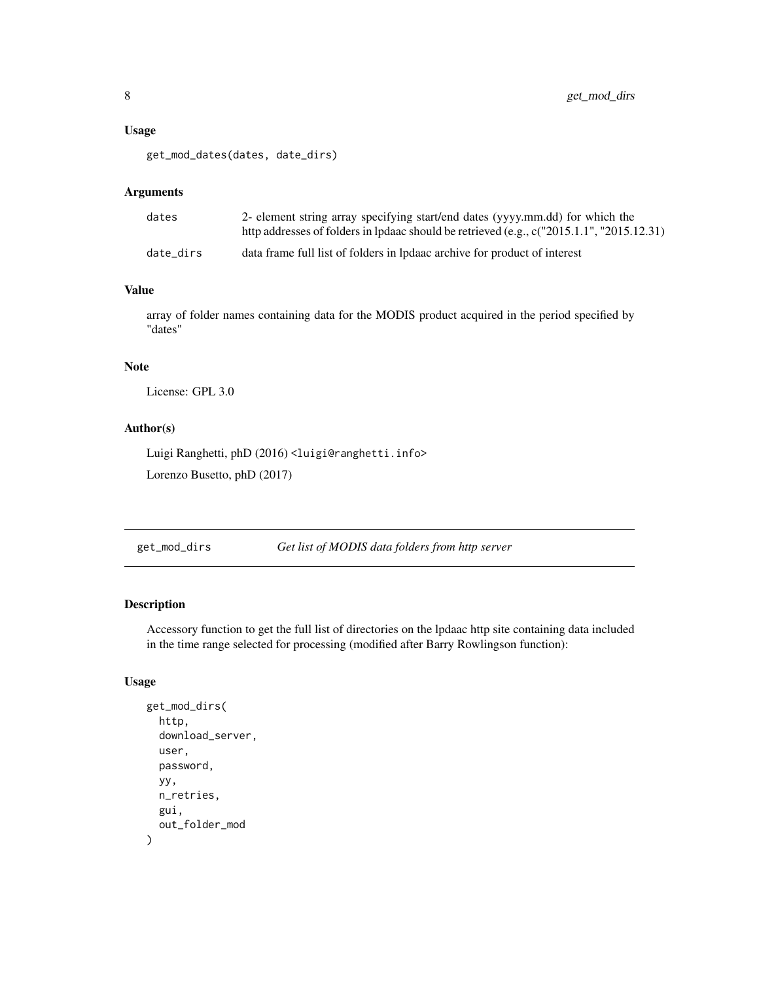#### <span id="page-7-0"></span>Usage

```
get_mod_dates(dates, date_dirs)
```
#### Arguments

| dates     | 2- element string array specifying start/end dates (yyyy.mm.dd) for which the<br>http addresses of folders in lpdaac should be retrieved (e.g., c("2015.1.1", "2015.12.31) |
|-----------|----------------------------------------------------------------------------------------------------------------------------------------------------------------------------|
| date dirs | data frame full list of folders in lpdaac archive for product of interest                                                                                                  |

# Value

array of folder names containing data for the MODIS product acquired in the period specified by "dates"

#### Note

License: GPL 3.0

# Author(s)

Luigi Ranghetti, phD (2016) <luigi@ranghetti.info>

Lorenzo Busetto, phD (2017)

get\_mod\_dirs *Get list of MODIS data folders from http server*

#### Description

Accessory function to get the full list of directories on the lpdaac http site containing data included in the time range selected for processing (modified after Barry Rowlingson function):

# Usage

```
get_mod_dirs(
 http,
  download_server,
 user,
  password,
 yy,
  n_retries,
  gui,
  out_folder_mod
)
```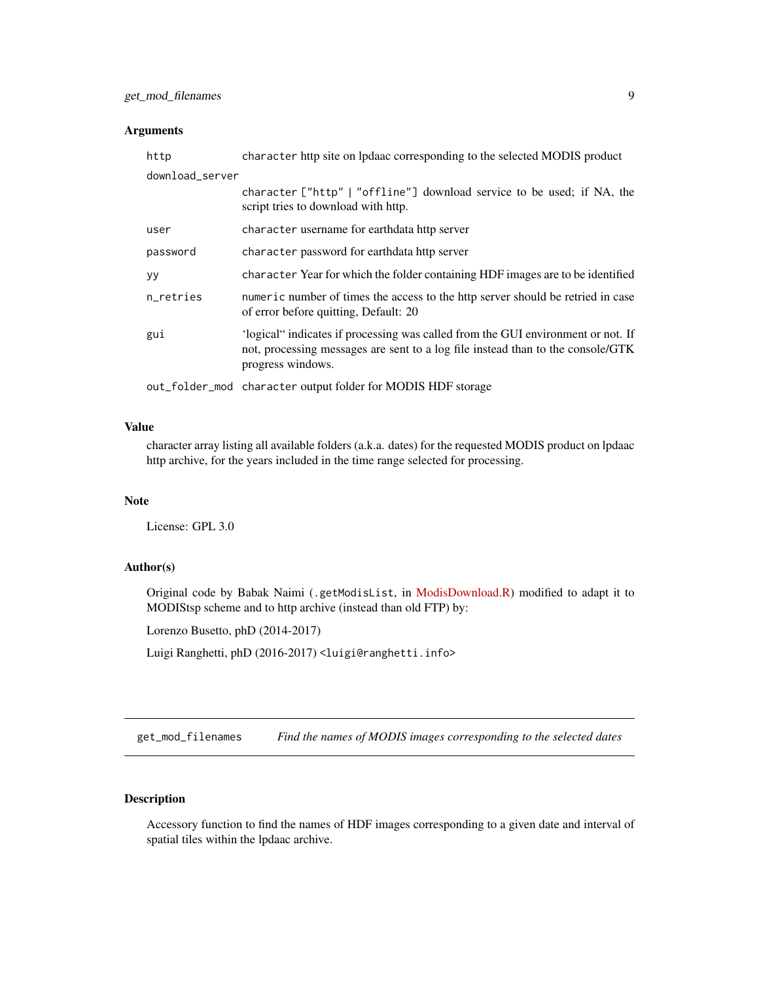#### <span id="page-8-0"></span>Arguments

| http            | character http site on Ipdaac corresponding to the selected MODIS product                                                                                                                |
|-----------------|------------------------------------------------------------------------------------------------------------------------------------------------------------------------------------------|
| download_server |                                                                                                                                                                                          |
|                 | character ["http"   "offline"] download service to be used; if NA, the<br>script tries to download with http.                                                                            |
| user            | character username for earthdata http server                                                                                                                                             |
| password        | character password for earthdata http server                                                                                                                                             |
| <b>yy</b>       | character Year for which the folder containing HDF images are to be identified                                                                                                           |
| n retries       | numeric number of times the access to the http server should be retried in case<br>of error before quitting, Default: 20                                                                 |
| gui             | 'logical" indicates if processing was called from the GUI environment or not. If<br>not, processing messages are sent to a log file instead than to the console/GTK<br>progress windows. |
|                 | out_folder_mod character output folder for MODIS HDF storage                                                                                                                             |

#### Value

character array listing all available folders (a.k.a. dates) for the requested MODIS product on lpdaac http archive, for the years included in the time range selected for processing.

#### Note

License: GPL 3.0

# Author(s)

Original code by Babak Naimi (.getModisList, in [ModisDownload.R\)](http://r-gis.net/?q=ModisDownload) modified to adapt it to MODIStsp scheme and to http archive (instead than old FTP) by:

Lorenzo Busetto, phD (2014-2017)

Luigi Ranghetti, phD (2016-2017) <luigi@ranghetti.info>

get\_mod\_filenames *Find the names of MODIS images corresponding to the selected dates*

# Description

Accessory function to find the names of HDF images corresponding to a given date and interval of spatial tiles within the lpdaac archive.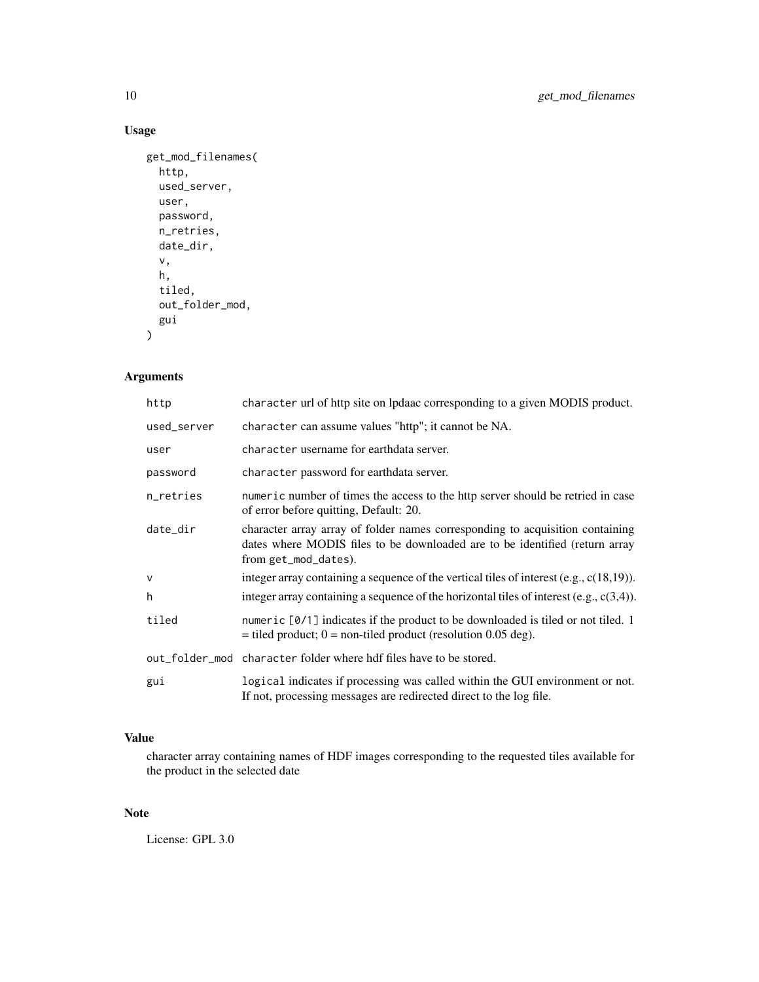# Usage

```
get_mod_filenames(
  http,
  used_server,
  user,
  password,
  n_retries,
  date_dir,
  v,
  h,
  tiled,
  out_folder_mod,
  gui
\mathcal{E}
```
# Arguments

| http        | character url of http site on lpdaac corresponding to a given MODIS product.                                                                                                         |
|-------------|--------------------------------------------------------------------------------------------------------------------------------------------------------------------------------------|
| used_server | character can assume values "http"; it cannot be NA.                                                                                                                                 |
| user        | character username for earthdata server.                                                                                                                                             |
| password    | character password for earthdata server.                                                                                                                                             |
| n_retries   | numeric number of times the access to the http server should be retried in case<br>of error before quitting, Default: 20.                                                            |
| date_dir    | character array array of folder names corresponding to acquisition containing<br>dates where MODIS files to be downloaded are to be identified (return array<br>from get_mod_dates). |
| V           | integer array containing a sequence of the vertical tiles of interest (e.g., $c(18,19)$ ).                                                                                           |
| h           | integer array containing a sequence of the horizontal tiles of interest $(e.g., c(3,4))$ .                                                                                           |
| tiled       | numeric $[0/1]$ indicates if the product to be downloaded is tiled or not tiled. 1<br>$=$ tiled product; 0 = non-tiled product (resolution 0.05 deg).                                |
|             | out_folder_mod character folder where hdf files have to be stored.                                                                                                                   |
| gui         | logical indicates if processing was called within the GUI environment or not.<br>If not, processing messages are redirected direct to the log file.                                  |
|             |                                                                                                                                                                                      |

# Value

character array containing names of HDF images corresponding to the requested tiles available for the product in the selected date

# Note

License: GPL 3.0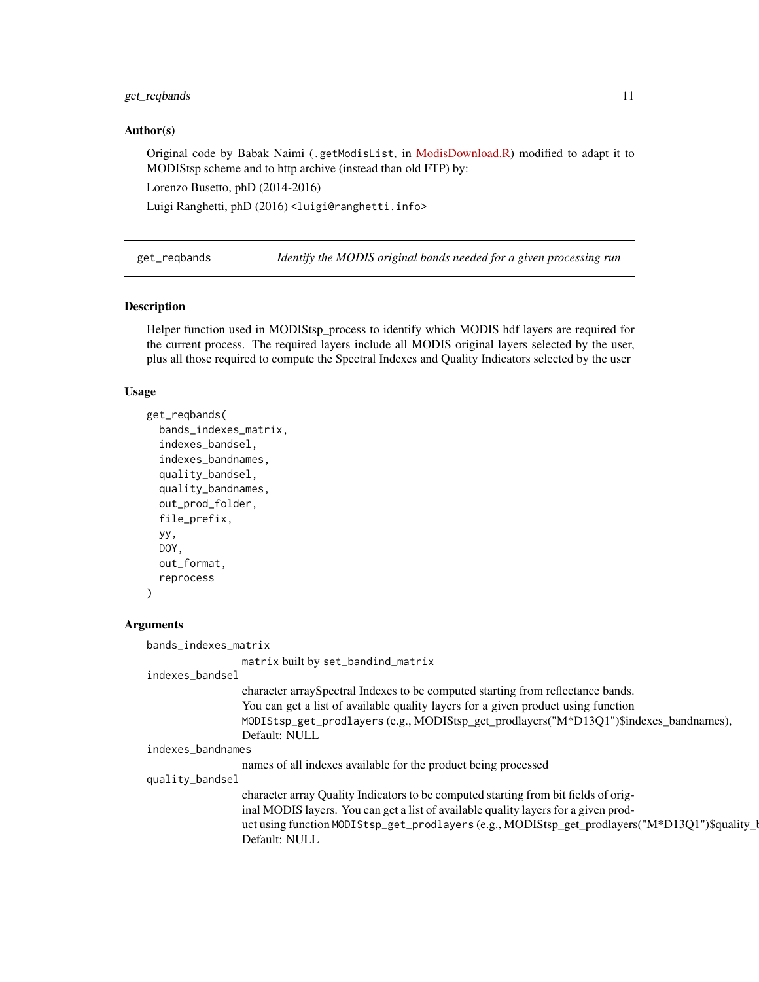#### <span id="page-10-0"></span>get\_reqbands 11

#### Author(s)

Original code by Babak Naimi (.getModisList, in [ModisDownload.R\)](http://r-gis.net/?q=ModisDownload) modified to adapt it to MODIStsp scheme and to http archive (instead than old FTP) by:

Lorenzo Busetto, phD (2014-2016)

Luigi Ranghetti, phD (2016) <luigi@ranghetti.info>

get\_reqbands *Identify the MODIS original bands needed for a given processing run*

#### Description

Helper function used in MODIStsp\_process to identify which MODIS hdf layers are required for the current process. The required layers include all MODIS original layers selected by the user, plus all those required to compute the Spectral Indexes and Quality Indicators selected by the user

#### Usage

```
get_reqbands(
  bands_indexes_matrix,
  indexes_bandsel,
  indexes_bandnames,
  quality_bandsel,
  quality_bandnames,
  out_prod_folder,
  file_prefix,
  yy,
  DOY,
  out_format,
  reprocess
)
```
#### Arguments

bands\_indexes\_matrix

matrix built by set\_bandind\_matrix

indexes\_bandsel

character arraySpectral Indexes to be computed starting from reflectance bands. You can get a list of available quality layers for a given product using function MODIStsp\_get\_prodlayers (e.g., MODIStsp\_get\_prodlayers("M\*D13Q1")\$indexes\_bandnames), Default: NULL

indexes\_bandnames

names of all indexes available for the product being processed

quality\_bandsel

character array Quality Indicators to be computed starting from bit fields of original MODIS layers. You can get a list of available quality layers for a given product using function MODIStsp\_get\_prodlayers (e.g., MODIStsp\_get\_prodlayers("M\*D13Q1")\$quality\_l Default: NULL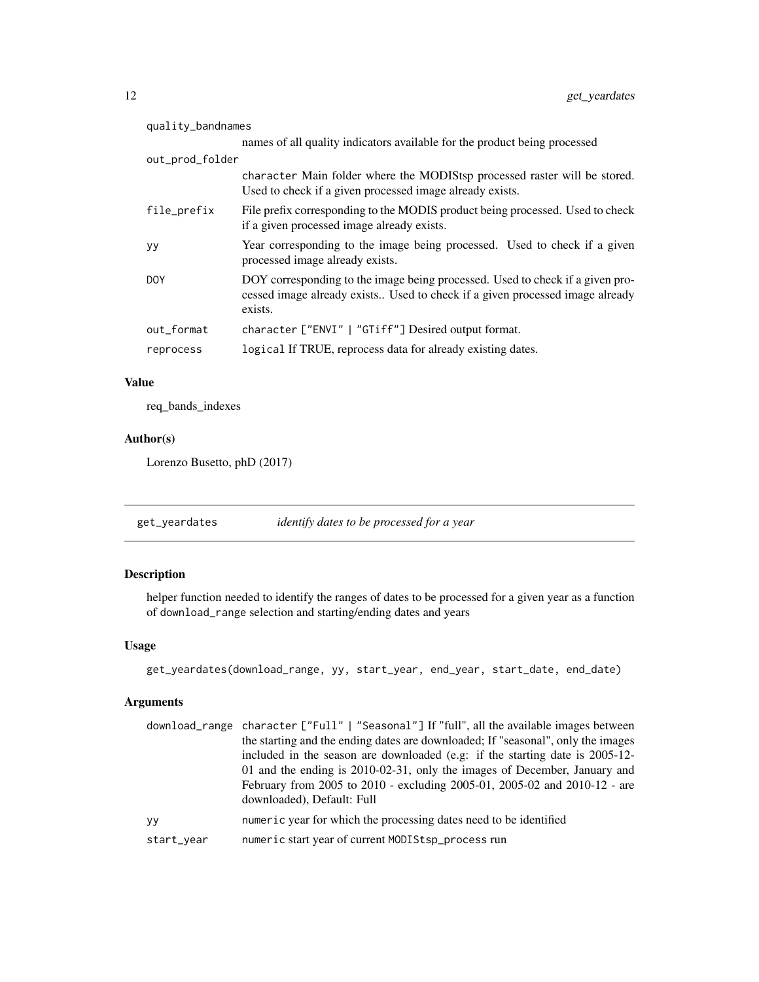<span id="page-11-0"></span>

| quality_bandnames |                                                                                                                                                                          |  |
|-------------------|--------------------------------------------------------------------------------------------------------------------------------------------------------------------------|--|
|                   | names of all quality indicators available for the product being processed                                                                                                |  |
| out_prod_folder   |                                                                                                                                                                          |  |
|                   | character Main folder where the MODIStsp processed raster will be stored.<br>Used to check if a given processed image already exists.                                    |  |
| file_prefix       | File prefix corresponding to the MODIS product being processed. Used to check<br>if a given processed image already exists.                                              |  |
| УY                | Year corresponding to the image being processed. Used to check if a given<br>processed image already exists.                                                             |  |
| DOY               | DOY corresponding to the image being processed. Used to check if a given pro-<br>cessed image already exists Used to check if a given processed image already<br>exists. |  |
| out_format        | character ["ENVI"   "GTiff"] Desired output format.                                                                                                                      |  |
| reprocess         | logical If TRUE, reprocess data for already existing dates.                                                                                                              |  |

# Value

req\_bands\_indexes

# Author(s)

Lorenzo Busetto, phD (2017)

get\_yeardates *identify dates to be processed for a year*

# Description

helper function needed to identify the ranges of dates to be processed for a given year as a function of download\_range selection and starting/ending dates and years

# Usage

```
get_yeardates(download_range, yy, start_year, end_year, start_date, end_date)
```
# Arguments

|            | download_range character ["Full"   "Seasonal"] If "full", all the available images between |
|------------|--------------------------------------------------------------------------------------------|
|            | the starting and the ending dates are downloaded; If "seasonal", only the images           |
|            | included in the season are downloaded (e.g. if the starting date is 2005-12-               |
|            | 01 and the ending is 2010-02-31, only the images of December, January and                  |
|            | February from 2005 to 2010 - excluding 2005-01, 2005-02 and 2010-12 - are                  |
|            | downloaded), Default: Full                                                                 |
| yy         | numeric year for which the processing dates need to be identified                          |
| start_year | numeric start year of current MODIStsp_process run                                         |
|            |                                                                                            |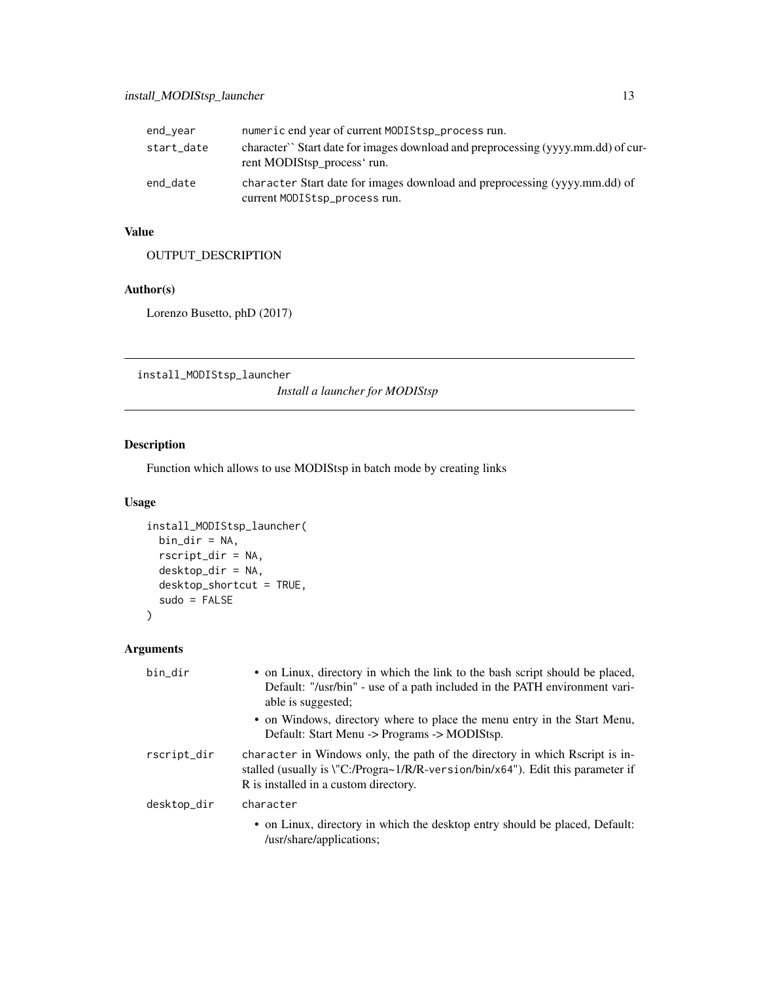<span id="page-12-0"></span>

| end_year   | numeric end year of current MODIStsp_process run.                                                               |
|------------|-----------------------------------------------------------------------------------------------------------------|
| start_date | character` Start date for images download and preprocessing (yyyy.mm.dd) of cur-<br>rent MODIStsp_process' run. |
| end_date   | character Start date for images download and preprocessing (yyyy.mm.dd) of<br>current MODIStsp_process run.     |

# Value

OUTPUT\_DESCRIPTION

# Author(s)

Lorenzo Busetto, phD (2017)

install\_MODIStsp\_launcher

*Install a launcher for MODIStsp*

# Description

Function which allows to use MODIStsp in batch mode by creating links

# Usage

```
install_MODIStsp_launcher(
 bin_dir = NA,
 rscript_dir = NA,
 desktop_dir = NA,
 desktop_shortcut = TRUE,
  sudo = FALSE
\mathcal{L}
```
# Arguments

| bin_dir     | • on Linux, directory in which the link to the bash script should be placed,<br>Default: "/usr/bin" - use of a path included in the PATH environment vari-<br>able is suggested;<br>• on Windows, directory where to place the menu entry in the Start Menu,<br>Default: Start Menu -> Programs -> MODIStsp. |
|-------------|--------------------------------------------------------------------------------------------------------------------------------------------------------------------------------------------------------------------------------------------------------------------------------------------------------------|
| rscript_dir | character in Windows only, the path of the directory in which Rscript is in-<br>stalled (usually is \"C:/Progra~1/R/R-version/bin/x64"). Edit this parameter if<br>R is installed in a custom directory.                                                                                                     |
| desktop_dir | character                                                                                                                                                                                                                                                                                                    |
|             | • on Linux, directory in which the desktop entry should be placed, Default:<br>/usr/share/applications;                                                                                                                                                                                                      |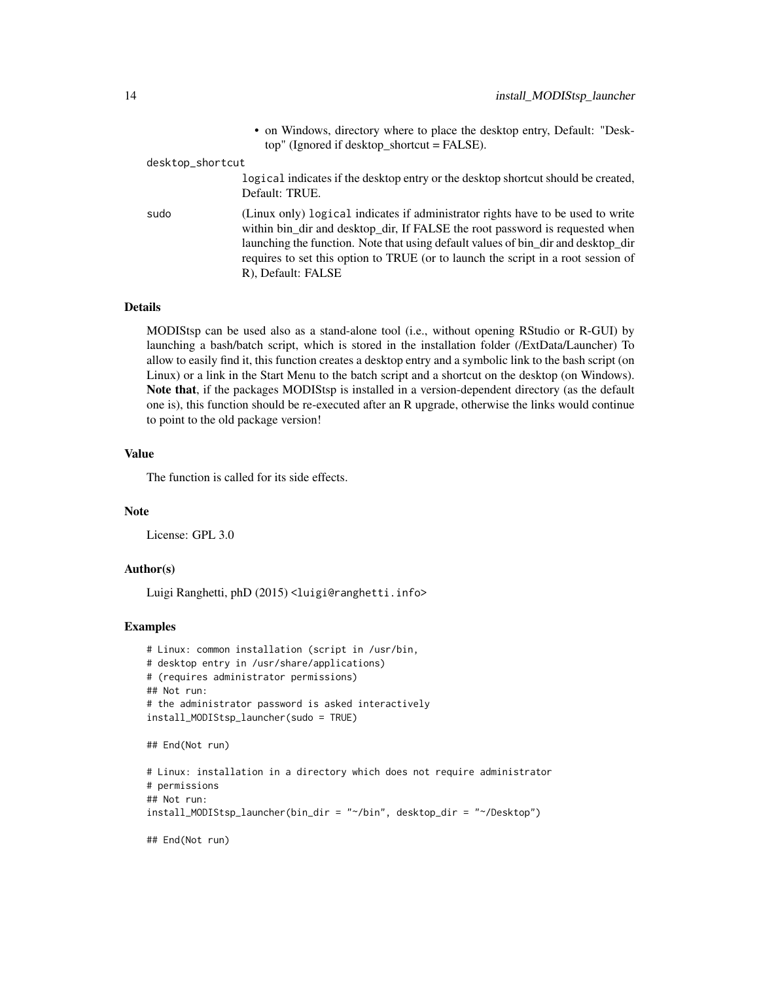|                  | • on Windows, directory where to place the desktop entry, Default: "Desk-<br>$top''$ (Ignored if desktop_shortcut = FALSE).                                                                                                                                                                                                                                     |
|------------------|-----------------------------------------------------------------------------------------------------------------------------------------------------------------------------------------------------------------------------------------------------------------------------------------------------------------------------------------------------------------|
| desktop_shortcut |                                                                                                                                                                                                                                                                                                                                                                 |
|                  | logical indicates if the desktop entry or the desktop shortcut should be created,<br>Default: TRUE.                                                                                                                                                                                                                                                             |
| sudo             | (Linux only) logical indicates if administrator rights have to be used to write<br>within bin_dir and desktop_dir, If FALSE the root password is requested when<br>launching the function. Note that using default values of bin_dir and desktop_dir<br>requires to set this option to TRUE (or to launch the script in a root session of<br>R), Default: FALSE |

#### Details

MODIStsp can be used also as a stand-alone tool (i.e., without opening RStudio or R-GUI) by launching a bash/batch script, which is stored in the installation folder (/ExtData/Launcher) To allow to easily find it, this function creates a desktop entry and a symbolic link to the bash script (on Linux) or a link in the Start Menu to the batch script and a shortcut on the desktop (on Windows). Note that, if the packages MODIStsp is installed in a version-dependent directory (as the default one is), this function should be re-executed after an R upgrade, otherwise the links would continue to point to the old package version!

# Value

The function is called for its side effects.

# Note

License: GPL 3.0

#### Author(s)

Luigi Ranghetti, phD (2015) <luigi@ranghetti.info>

#### Examples

```
# Linux: common installation (script in /usr/bin,
# desktop entry in /usr/share/applications)
# (requires administrator permissions)
## Not run:
# the administrator password is asked interactively
install_MODIStsp_launcher(sudo = TRUE)
```

```
## End(Not run)
```

```
# Linux: installation in a directory which does not require administrator
# permissions
## Not run:
install_MODIStsp_launcher(bin_dir = "~/bin", desktop_dir = "~/Desktop")
```
## End(Not run)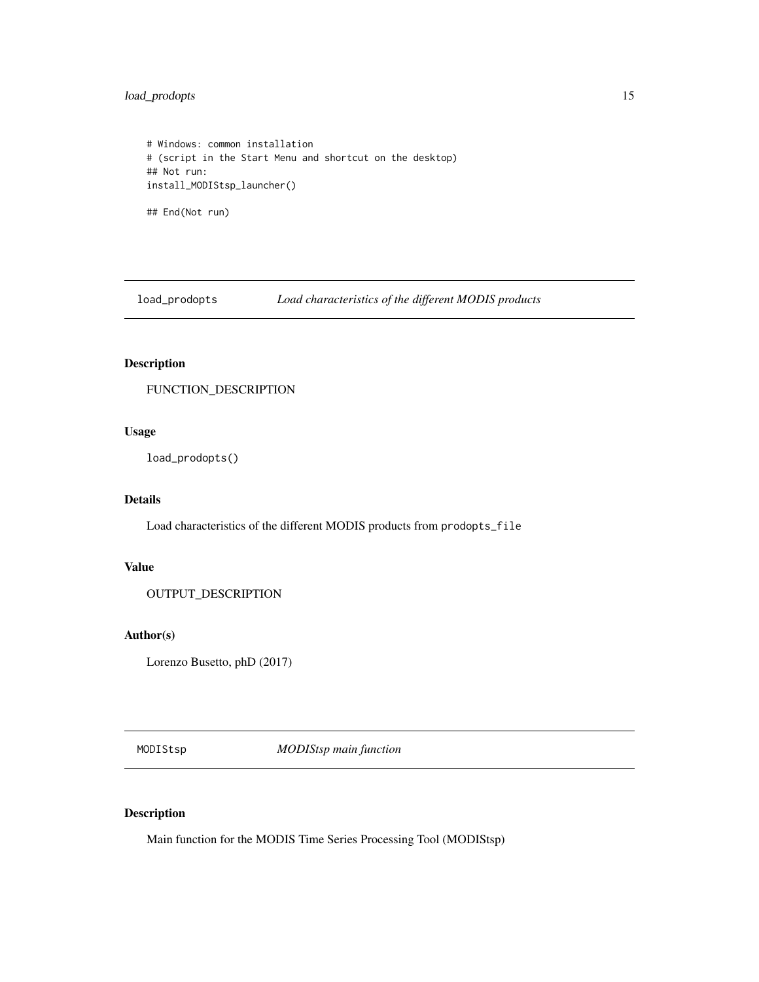# <span id="page-14-0"></span>load\_prodopts 15

```
# Windows: common installation
# (script in the Start Menu and shortcut on the desktop)
## Not run:
install_MODIStsp_launcher()
## End(Not run)
```
load\_prodopts *Load characteristics of the different MODIS products*

# Description

FUNCTION\_DESCRIPTION

# Usage

load\_prodopts()

# Details

Load characteristics of the different MODIS products from prodopts\_file

# Value

OUTPUT\_DESCRIPTION

#### Author(s)

Lorenzo Busetto, phD (2017)

MODIStsp *MODIStsp main function*

# Description

Main function for the MODIS Time Series Processing Tool (MODIStsp)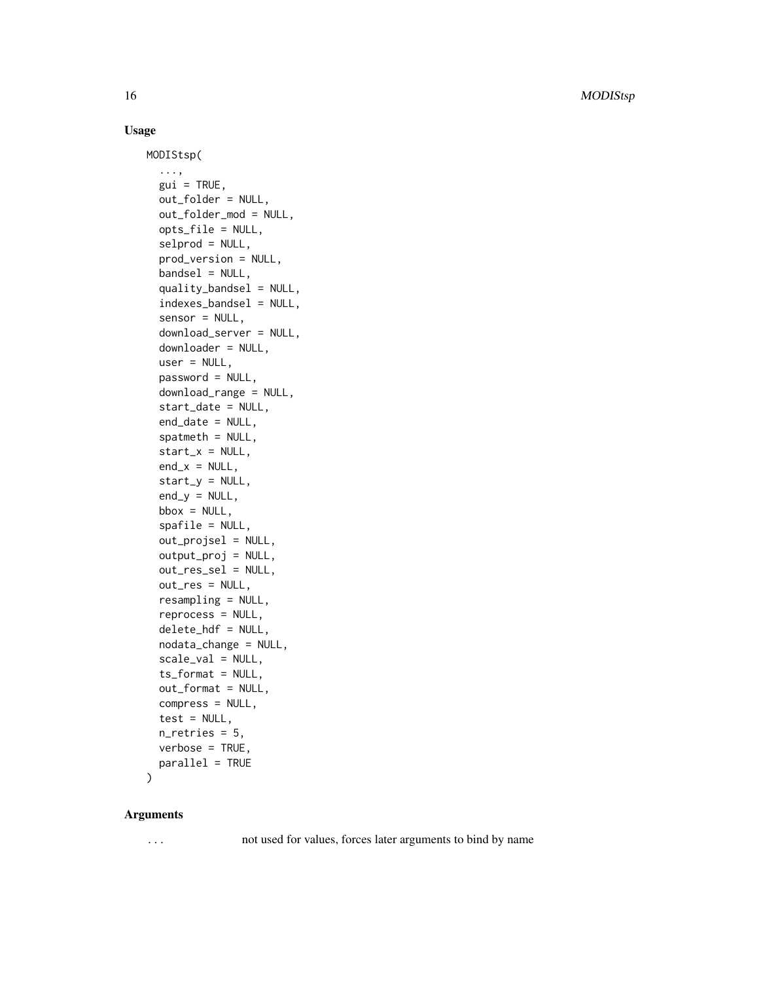16 MODIStsp

# Usage

```
MODIStsp(
  ...,
  gui = TRUE,out_folder = NULL,
  out_folder_mod = NULL,
  opts_file = NULL,
  selprod = NULL,
  prod_version = NULL,
  bandsel = NULL,quality\_bandsel = NULL,
  indexes_bandsel = NULL,
  sensor = NULL,
  download_server = NULL,
  downloader = NULL,
  user = NULL,
  password = NULL,
  download_range = NULL,
  start_date = NULL,
  end_date = NULL,
  spatmeth = NULL,
  start_x = NULL,end_x = NULL,start_y = NULL,end_y = NULL,bbox = NULL,spafile = NULL,
  out_projsel = NULL,
  output_proj = NULL,
  out_res_sel = NULL,
  out_res = NULL,
  resampling = NULL,
  reprocess = NULL,
  delete_hdf = NULL,
  nodata_change = NULL,
  scale_val = NULL,
  ts_format = NULL,
  out_format = NULL,
  compress = NULL,
  test = NULL,
  n_retries = 5,
  verbose = TRUE,
  parallel = TRUE
\mathcal{L}
```
#### Arguments

... not used for values, forces later arguments to bind by name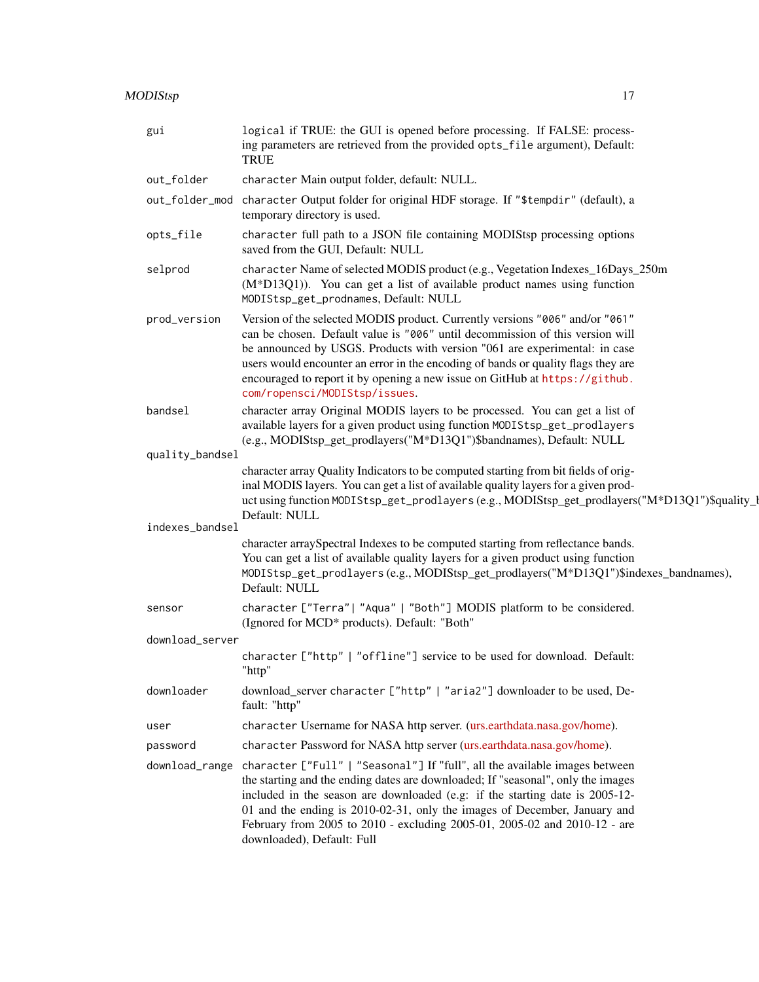| gui             | logical if TRUE: the GUI is opened before processing. If FALSE: process-<br>ing parameters are retrieved from the provided opts_file argument), Default:<br><b>TRUE</b>                                                                                                                                                                                                                                                                          |
|-----------------|--------------------------------------------------------------------------------------------------------------------------------------------------------------------------------------------------------------------------------------------------------------------------------------------------------------------------------------------------------------------------------------------------------------------------------------------------|
| out_folder      | character Main output folder, default: NULL.                                                                                                                                                                                                                                                                                                                                                                                                     |
| out_folder_mod  | character Output folder for original HDF storage. If "\$tempdir" (default), a<br>temporary directory is used.                                                                                                                                                                                                                                                                                                                                    |
| opts_file       | character full path to a JSON file containing MODIStsp processing options<br>saved from the GUI, Default: NULL                                                                                                                                                                                                                                                                                                                                   |
| selprod         | character Name of selected MODIS product (e.g., Vegetation Indexes_16Days_250m<br>(M*D13Q1)). You can get a list of available product names using function<br>MODIStsp_get_prodnames, Default: NULL                                                                                                                                                                                                                                              |
| prod_version    | Version of the selected MODIS product. Currently versions "006" and/or "061"<br>can be chosen. Default value is "006" until decommission of this version will<br>be announced by USGS. Products with version "061 are experimental: in case<br>users would encounter an error in the encoding of bands or quality flags they are<br>encouraged to report it by opening a new issue on GitHub at https://github.<br>com/ropensci/MODIStsp/issues. |
| bandsel         | character array Original MODIS layers to be processed. You can get a list of<br>available layers for a given product using function MODIStsp_get_prodlayers<br>(e.g., MODIStsp_get_prodlayers("M*D13Q1")\$bandnames), Default: NULL                                                                                                                                                                                                              |
| quality_bandsel |                                                                                                                                                                                                                                                                                                                                                                                                                                                  |
|                 | character array Quality Indicators to be computed starting from bit fields of orig-<br>inal MODIS layers. You can get a list of available quality layers for a given prod-<br>uct using function MODIStsp_get_prodlayers (e.g., MODIStsp_get_prodlayers("M*D13Q1")\$quality_l<br>Default: NULL                                                                                                                                                   |
| indexes_bandsel |                                                                                                                                                                                                                                                                                                                                                                                                                                                  |
|                 | character arraySpectral Indexes to be computed starting from reflectance bands.<br>You can get a list of available quality layers for a given product using function<br>MODIStsp_get_prodlayers(e.g., MODIStsp_get_prodlayers("M*D13Q1")\$indexes_bandnames),<br>Default: NULL                                                                                                                                                                   |
| sensor          | character ["Terra"  "Aqua"   "Both"] MODIS platform to be considered.<br>(Ignored for MCD* products). Default: "Both"                                                                                                                                                                                                                                                                                                                            |
| download_server |                                                                                                                                                                                                                                                                                                                                                                                                                                                  |
|                 | character ["http"   "offline"] service to be used for download. Default:<br>"http"                                                                                                                                                                                                                                                                                                                                                               |
| downloader      | download_server character ["http"   "aria2"] downloader to be used, De-<br>fault: "http"                                                                                                                                                                                                                                                                                                                                                         |
| user            | character Username for NASA http server. (urs.earthdata.nasa.gov/home).                                                                                                                                                                                                                                                                                                                                                                          |
| password        | character Password for NASA http server (urs.earthdata.nasa.gov/home).                                                                                                                                                                                                                                                                                                                                                                           |
| download_range  | character ["Full"   "Seasonal"] If "full", all the available images between<br>the starting and the ending dates are downloaded; If "seasonal", only the images<br>included in the season are downloaded (e.g: if the starting date is 2005-12-<br>01 and the ending is 2010-02-31, only the images of December, January and<br>February from 2005 to 2010 - excluding 2005-01, 2005-02 and 2010-12 - are<br>downloaded), Default: Full          |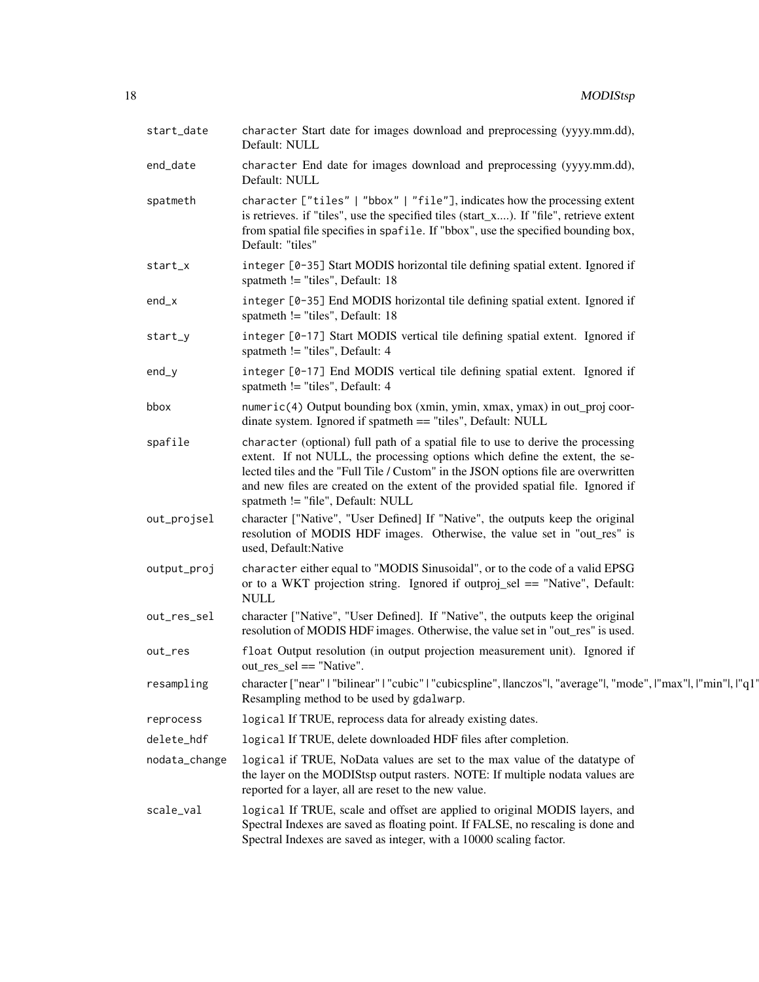| start_date    | character Start date for images download and preprocessing (yyyy.mm.dd),<br>Default: NULL                                                                                                                                                                                                                                                                                       |
|---------------|---------------------------------------------------------------------------------------------------------------------------------------------------------------------------------------------------------------------------------------------------------------------------------------------------------------------------------------------------------------------------------|
| end_date      | character End date for images download and preprocessing (yyyy.mm.dd),<br>Default: NULL                                                                                                                                                                                                                                                                                         |
| spatmeth      | character ["tiles"   "bbox"   "file"], indicates how the processing extent<br>is retrieves. if "tiles", use the specified tiles (start_x). If "file", retrieve extent<br>from spatial file specifies in spafile. If "bbox", use the specified bounding box,<br>Default: "tiles"                                                                                                 |
| start_x       | integer [0-35] Start MODIS horizontal tile defining spatial extent. Ignored if<br>spatmeth != "tiles", Default: 18                                                                                                                                                                                                                                                              |
| $end_x$       | integer [0-35] End MODIS horizontal tile defining spatial extent. Ignored if<br>spatmeth != "tiles", Default: 18                                                                                                                                                                                                                                                                |
| start_y       | integer [0-17] Start MODIS vertical tile defining spatial extent. Ignored if<br>spatmeth != "tiles", Default: 4                                                                                                                                                                                                                                                                 |
| $end_y$       | integer [0-17] End MODIS vertical tile defining spatial extent. Ignored if<br>spatmeth != "tiles", Default: 4                                                                                                                                                                                                                                                                   |
| bbox          | numeric(4) Output bounding box (xmin, ymin, xmax, ymax) in out_proj coor-<br>dinate system. Ignored if spatmeth == "tiles", Default: NULL                                                                                                                                                                                                                                       |
| spafile       | character (optional) full path of a spatial file to use to derive the processing<br>extent. If not NULL, the processing options which define the extent, the se-<br>lected tiles and the "Full Tile / Custom" in the JSON options file are overwritten<br>and new files are created on the extent of the provided spatial file. Ignored if<br>spatmeth != "file", Default: NULL |
| out_projsel   | character ["Native", "User Defined] If "Native", the outputs keep the original<br>resolution of MODIS HDF images. Otherwise, the value set in "out_res" is<br>used, Default:Native                                                                                                                                                                                              |
| output_proj   | character either equal to "MODIS Sinusoidal", or to the code of a valid EPSG<br>or to a WKT projection string. Ignored if outproj_sel == "Native", Default:<br><b>NULL</b>                                                                                                                                                                                                      |
| out_res_sel   | character ["Native", "User Defined]. If "Native", the outputs keep the original<br>resolution of MODIS HDF images. Otherwise, the value set in "out_res" is used.                                                                                                                                                                                                               |
| out_res       | float Output resolution (in output projection measurement unit). Ignored if<br>$out\_res\_sel == "Native".$                                                                                                                                                                                                                                                                     |
| resampling    | character ["near"   "bilinear"   "cubic"   "cubicspline", llanczos" , "average" , "mode",   "max" ,   "min" ,   "q1<br>Resampling method to be used by gdalwarp.                                                                                                                                                                                                                |
| reprocess     | logical If TRUE, reprocess data for already existing dates.                                                                                                                                                                                                                                                                                                                     |
| delete_hdf    | logical If TRUE, delete downloaded HDF files after completion.                                                                                                                                                                                                                                                                                                                  |
| nodata_change | logical if TRUE, NoData values are set to the max value of the datatype of<br>the layer on the MODIStsp output rasters. NOTE: If multiple nodata values are<br>reported for a layer, all are reset to the new value.                                                                                                                                                            |
| scale_val     | logical If TRUE, scale and offset are applied to original MODIS layers, and<br>Spectral Indexes are saved as floating point. If FALSE, no rescaling is done and<br>Spectral Indexes are saved as integer, with a 10000 scaling factor.                                                                                                                                          |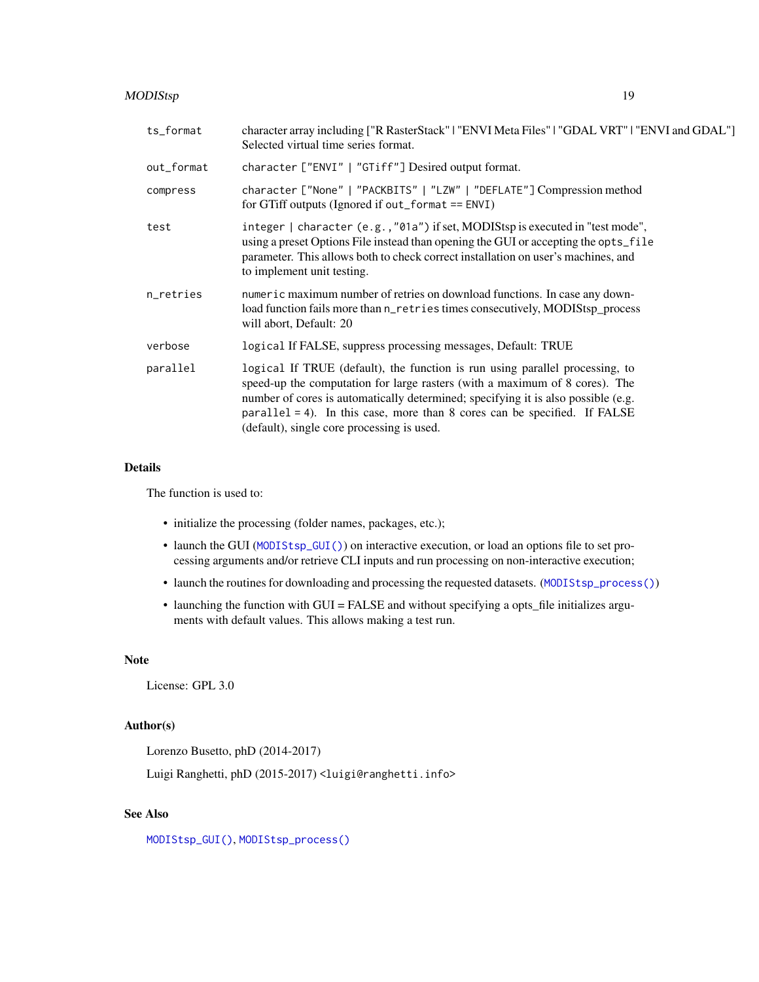# <span id="page-18-0"></span>MODIStsp 19

| ts_format  | character array including ["R RasterStack"   "ENVI Meta Files"   "GDAL VRT"   "ENVI and GDAL"]<br>Selected virtual time series format.                                                                                                                                                                                                                                         |
|------------|--------------------------------------------------------------------------------------------------------------------------------------------------------------------------------------------------------------------------------------------------------------------------------------------------------------------------------------------------------------------------------|
| out_format | character ["ENVI"   "GTiff"] Desired output format.                                                                                                                                                                                                                                                                                                                            |
| compress   | character ["None"   "PACKBITS"   "LZW"   "DEFLATE"] Compression method<br>for GTiff outputs (Ignored if out_format $==$ ENVI)                                                                                                                                                                                                                                                  |
| test       | integer   character (e.g., "01a") if set, MODIStsp is executed in "test mode",<br>using a preset Options File instead than opening the GUI or accepting the opts_file<br>parameter. This allows both to check correct installation on user's machines, and<br>to implement unit testing.                                                                                       |
| n_retries  | numeric maximum number of retries on download functions. In case any down-<br>load function fails more than n_retries times consecutively, MODIStsp_process<br>will abort, Default: 20                                                                                                                                                                                         |
| verbose    | logical If FALSE, suppress processing messages, Default: TRUE                                                                                                                                                                                                                                                                                                                  |
| parallel   | logical If TRUE (default), the function is run using parallel processing, to<br>speed-up the computation for large rasters (with a maximum of 8 cores). The<br>number of cores is automatically determined; specifying it is also possible (e.g.<br>$parallel = 4$ ). In this case, more than 8 cores can be specified. If FALSE<br>(default), single core processing is used. |

#### Details

The function is used to:

- initialize the processing (folder names, packages, etc.);
- launch the GUI ([MODIStsp\\_GUI\(\)](#page-29-1)) on interactive execution, or load an options file to set processing arguments and/or retrieve CLI inputs and run processing on non-interactive execution;
- launch the routines for downloading and processing the requested datasets. ([MODIStsp\\_process\(\)](#page-30-1))
- launching the function with GUI = FALSE and without specifying a opts\_file initializes arguments with default values. This allows making a test run.

# Note

License: GPL 3.0

#### Author(s)

Lorenzo Busetto, phD (2014-2017)

Luigi Ranghetti, phD (2015-2017) <luigi@ranghetti.info>

# See Also

[MODIStsp\\_GUI\(\)](#page-29-1), [MODIStsp\\_process\(\)](#page-30-1)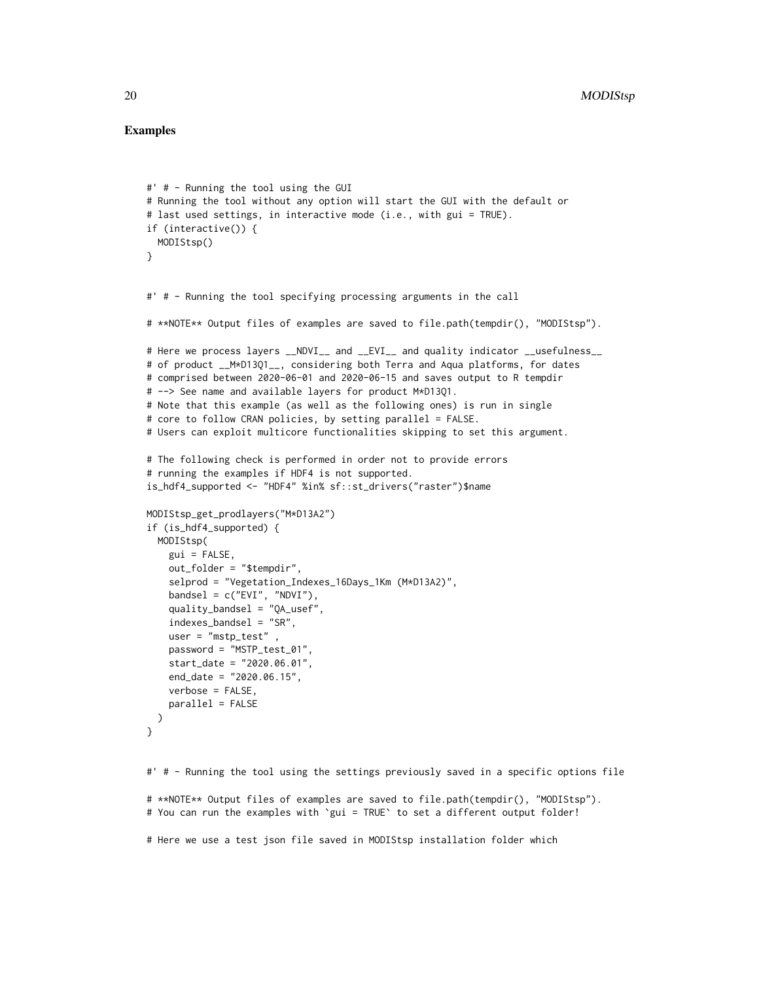#### Examples

```
#' # - Running the tool using the GUI
# Running the tool without any option will start the GUI with the default or
# last used settings, in interactive mode (i.e., with gui = TRUE).
if (interactive()) {
 MODIStsp()
}
#' # - Running the tool specifying processing arguments in the call
# **NOTE** Output files of examples are saved to file.path(tempdir(), "MODIStsp").
# Here we process layers __NDVI__ and __EVI__ and quality indicator __usefulness__
# of product __M*D13Q1__, considering both Terra and Aqua platforms, for dates
# comprised between 2020-06-01 and 2020-06-15 and saves output to R tempdir
# --> See name and available layers for product M*D13Q1.
# Note that this example (as well as the following ones) is run in single
# core to follow CRAN policies, by setting parallel = FALSE.
# Users can exploit multicore functionalities skipping to set this argument.
# The following check is performed in order not to provide errors
# running the examples if HDF4 is not supported.
is_hdf4_supported <- "HDF4" %in% sf::st_drivers("raster")$name
MODIStsp_get_prodlayers("M*D13A2")
if (is_hdf4_supported) {
 MODIStsp(
   gui = FALSE,
   out_folder = "$tempdir",
    selprod = "Vegetation_Indexes_16Days_1Km (M*D13A2)",
   bandsel = c("EVI", "NDVI"),quality_bandsel = "QA_usef",
    indexes_bandsel = "SR",
   user = "mstp_test" ,
   password = "MSTP_test_01",
   start_date = "2020.06.01",
    end_date = "2020.06.15",
   verbose = FALSE,
   parallel = FALSE
 )
}
#' # - Running the tool using the settings previously saved in a specific options file
```
# \*\*NOTE\*\* Output files of examples are saved to file.path(tempdir(), "MODIStsp"). # You can run the examples with `gui = TRUE` to set a different output folder!

# Here we use a test json file saved in MODIStsp installation folder which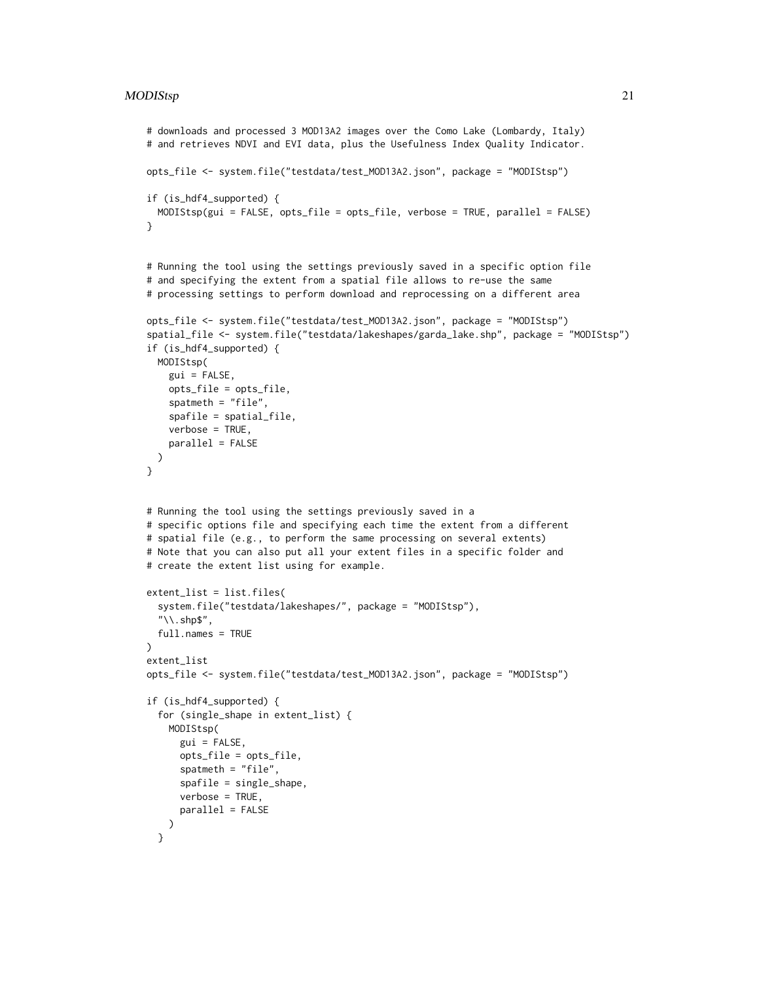#### $MODIStep$  21

```
# downloads and processed 3 MOD13A2 images over the Como Lake (Lombardy, Italy)
# and retrieves NDVI and EVI data, plus the Usefulness Index Quality Indicator.
opts_file <- system.file("testdata/test_MOD13A2.json", package = "MODIStsp")
if (is_hdf4_supported) {
 MODIStsp(gui = FALSE, opts_file = opts_file, verbose = TRUE, parallel = FALSE)
}
# Running the tool using the settings previously saved in a specific option file
# and specifying the extent from a spatial file allows to re-use the same
# processing settings to perform download and reprocessing on a different area
opts_file <- system.file("testdata/test_MOD13A2.json", package = "MODIStsp")
spatial_file <- system.file("testdata/lakeshapes/garda_lake.shp", package = "MODIStsp")
if (is_hdf4_supported) {
 MODIStsp(
   gui = FALSE,
   opts_file = opts_file,
   spatmeth = "file",
   spafile = spatial_file,
   verbose = TRUE,
   parallel = FALSE
 )
}
# Running the tool using the settings previously saved in a
# specific options file and specifying each time the extent from a different
# spatial file (e.g., to perform the same processing on several extents)
# Note that you can also put all your extent files in a specific folder and
# create the extent list using for example.
extent_list = list.files(
 system.file("testdata/lakeshapes/", package = "MODIStsp"),
  "\\.shp$",
 full.names = TRUE
)
extent_list
opts_file <- system.file("testdata/test_MOD13A2.json", package = "MODIStsp")
if (is_hdf4_supported) {
 for (single_shape in extent_list) {
   MODIStsp(
     gui = FALSE,
     opts_file = opts_file,
     spatmeth = "file",
     spafile = single_shape,
     verbose = TRUE,
     parallel = FALSE
   )
 }
```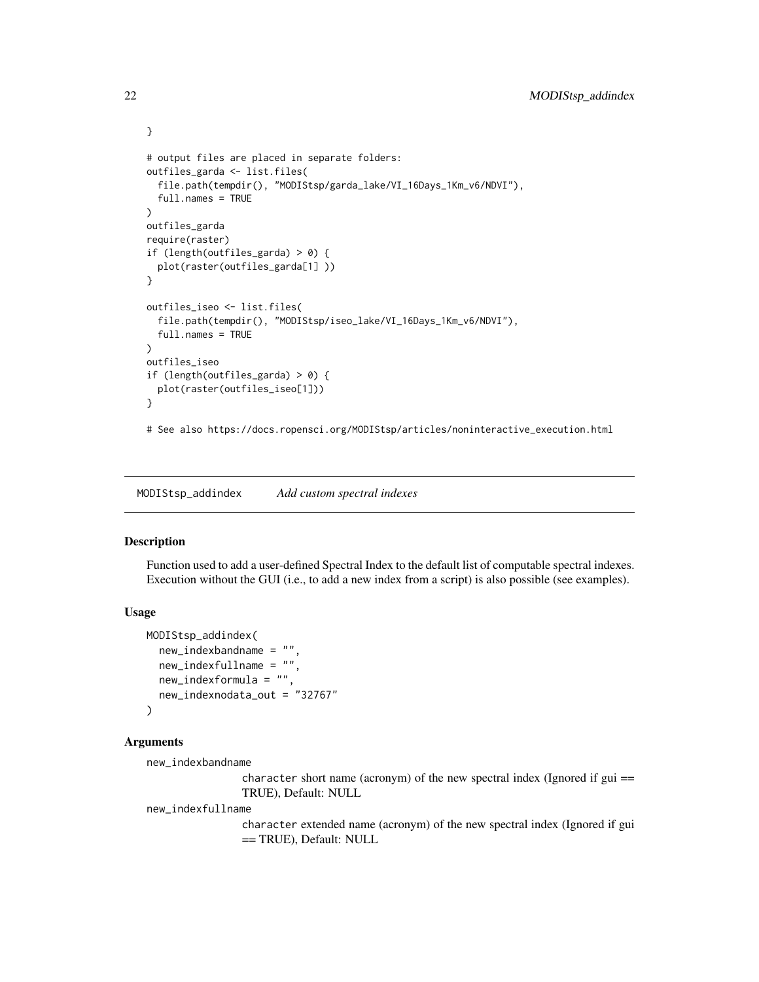```
# output files are placed in separate folders:
outfiles_garda <- list.files(
  file.path(tempdir(), "MODIStsp/garda_lake/VI_16Days_1Km_v6/NDVI"),
  full.names = TRUE
\mathcal{L}outfiles_garda
require(raster)
if (length(outfiles_garda) > 0) {
  plot(raster(outfiles_garda[1] ))
}
outfiles_iseo <- list.files(
  file.path(tempdir(), "MODIStsp/iseo_lake/VI_16Days_1Km_v6/NDVI"),
  full.names = TRUE
)
outfiles_iseo
if (length(outfiles_garda) > 0) {
  plot(raster(outfiles_iseo[1]))
}
# See also https://docs.ropensci.org/MODIStsp/articles/noninteractive_execution.html
```
<span id="page-21-1"></span>MODIStsp\_addindex *Add custom spectral indexes*

#### Description

Function used to add a user-defined Spectral Index to the default list of computable spectral indexes. Execution without the GUI (i.e., to add a new index from a script) is also possible (see examples).

# Usage

```
MODIStsp_addindex(
  new_indexbandname = "",
  new_indexfullname = "",
 new_indexformula = "",
  new_indexnodata_out = "32767"
)
```
#### Arguments

new\_indexbandname

character short name (acronym) of the new spectral index (Ignored if  $gui =$ TRUE), Default: NULL

new\_indexfullname

character extended name (acronym) of the new spectral index (Ignored if gui == TRUE), Default: NULL

<span id="page-21-0"></span>

}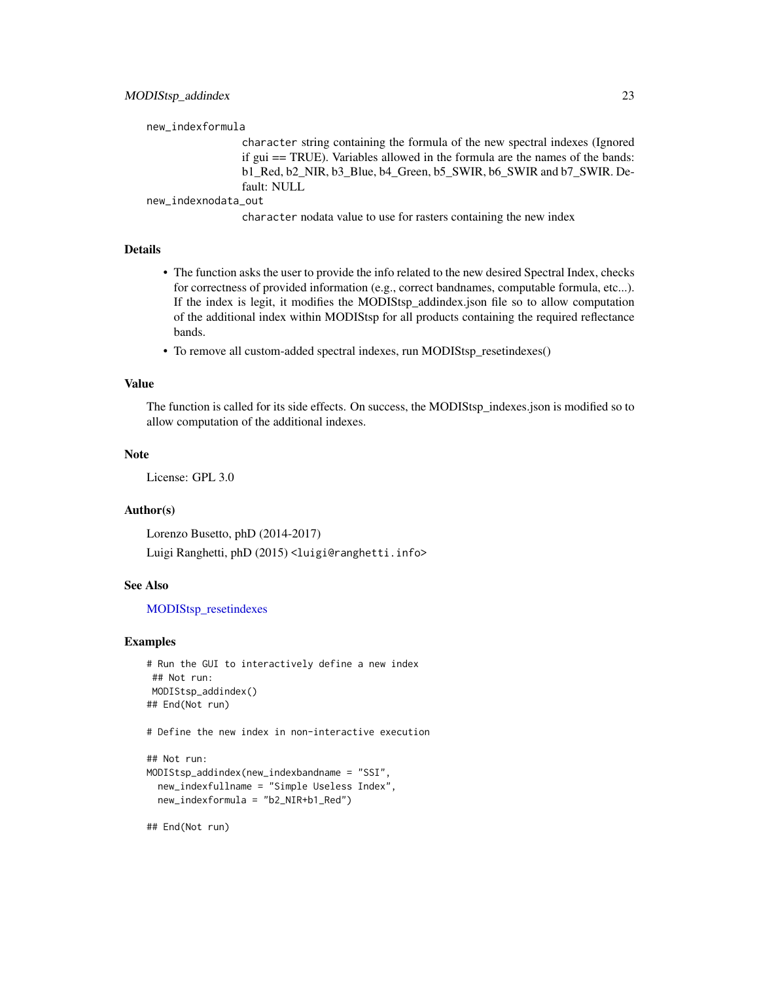<span id="page-22-0"></span>new\_indexformula

character string containing the formula of the new spectral indexes (Ignored if gui == TRUE). Variables allowed in the formula are the names of the bands: b1\_Red, b2\_NIR, b3\_Blue, b4\_Green, b5\_SWIR, b6\_SWIR and b7\_SWIR. Default: NULL

new\_indexnodata\_out

character nodata value to use for rasters containing the new index

# Details

- The function asks the user to provide the info related to the new desired Spectral Index, checks for correctness of provided information (e.g., correct bandnames, computable formula, etc...). If the index is legit, it modifies the MODIStsp\_addindex.json file so to allow computation of the additional index within MODIStsp for all products containing the required reflectance bands.
- To remove all custom-added spectral indexes, run MODIStsp\_resetindexes()

#### Value

The function is called for its side effects. On success, the MODIStsp\_indexes.json is modified so to allow computation of the additional indexes.

#### Note

License: GPL 3.0

#### Author(s)

Lorenzo Busetto, phD (2014-2017) Luigi Ranghetti, phD (2015) <luigi@ranghetti.info>

# See Also

[MODIStsp\\_resetindexes](#page-37-1)

#### Examples

```
# Run the GUI to interactively define a new index
## Not run:
MODIStsp_addindex()
## End(Not run)
```
# Define the new index in non-interactive execution

```
## Not run:
MODIStsp_addindex(new_indexbandname = "SSI",
 new_indexfullname = "Simple Useless Index",
 new_indexformula = "b2_NIR+b1_Red")
```
## End(Not run)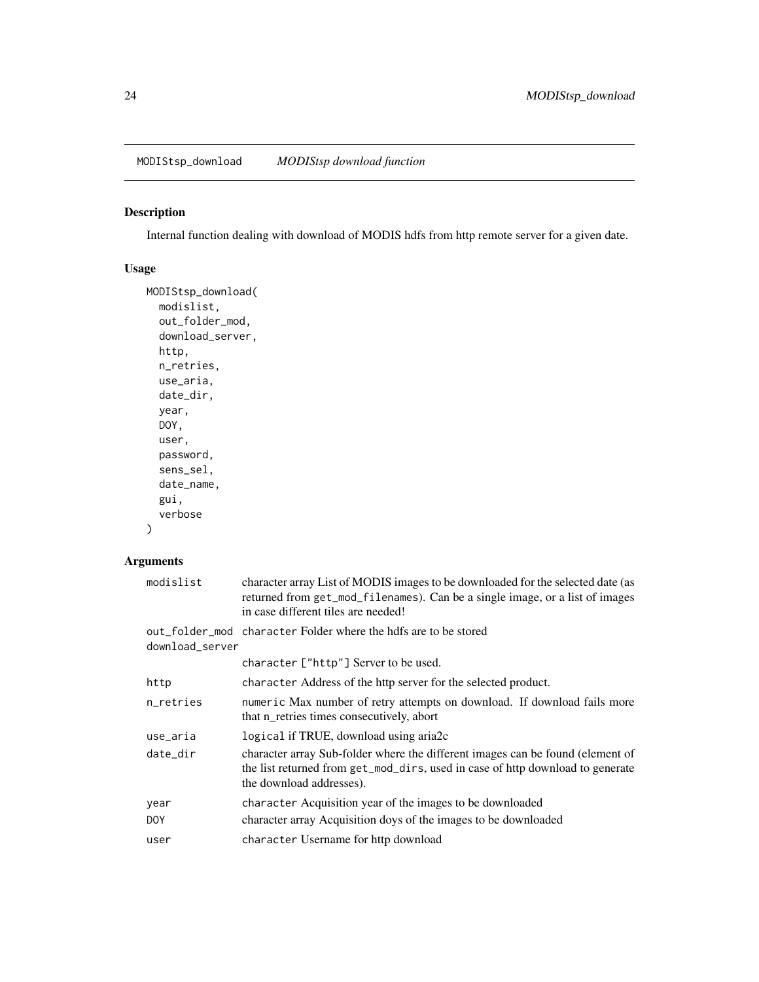<span id="page-23-0"></span>MODIStsp\_download *MODIStsp download function*

# Description

Internal function dealing with download of MODIS hdfs from http remote server for a given date.

# Usage

```
MODIStsp_download(
 modislist,
 out_folder_mod,
 download_server,
 http,
 n_retries,
 use_aria,
 date_dir,
 year,
 DOY,
 user,
 password,
  sens_sel,
 date_name,
  gui,
  verbose
```

```
\mathcal{E}
```
# Arguments

| modislist       | character array List of MODIS images to be downloaded for the selected date (as<br>returned from get_mod_filenames). Can be a single image, or a list of images<br>in case different tiles are needed! |
|-----------------|--------------------------------------------------------------------------------------------------------------------------------------------------------------------------------------------------------|
| download_server | out_folder_mod character Folder where the hdfs are to be stored                                                                                                                                        |
|                 | character ["http"] Server to be used.                                                                                                                                                                  |
| http            | character Address of the http server for the selected product.                                                                                                                                         |
| n_retries       | numeric Max number of retry attempts on download. If download fails more<br>that n_retries times consecutively, abort                                                                                  |
| use_aria        | logical if TRUE, download using aria2c                                                                                                                                                                 |
| date_dir        | character array Sub-folder where the different images can be found (element of<br>the list returned from get_mod_dirs, used in case of http download to generate<br>the download addresses).           |
| year            | character Acquisition year of the images to be downloaded                                                                                                                                              |
| DOY             | character array Acquisition doys of the images to be downloaded                                                                                                                                        |
| user            | character Username for http download                                                                                                                                                                   |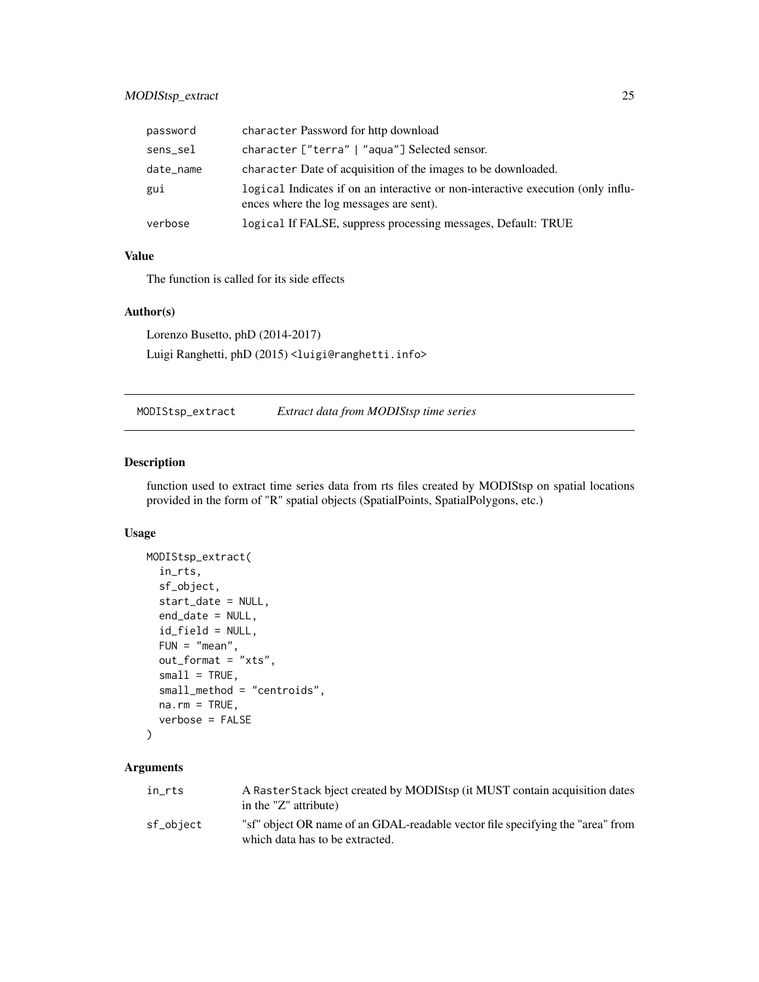# <span id="page-24-0"></span>MODIStsp\_extract 25

| password  | character Password for http download                                                                                        |
|-----------|-----------------------------------------------------------------------------------------------------------------------------|
| sens_sel  | character ["terra"   "aqua"] Selected sensor.                                                                               |
| date_name | character Date of acquisition of the images to be downloaded.                                                               |
| gui       | logical Indicates if on an interactive or non-interactive execution (only influ-<br>ences where the log messages are sent). |
| verbose   | logical If FALSE, suppress processing messages, Default: TRUE                                                               |

# Value

The function is called for its side effects

# Author(s)

Lorenzo Busetto, phD (2014-2017) Luigi Ranghetti, phD (2015) <luigi@ranghetti.info>

MODIStsp\_extract *Extract data from MODIStsp time series*

# Description

function used to extract time series data from rts files created by MODIStsp on spatial locations provided in the form of "R" spatial objects (SpatialPoints, SpatialPolygons, etc.)

# Usage

```
MODIStsp_extract(
  in_rts,
  sf_object,
  start_date = NULL,
  end_date = NULL,
  id_field = NULL,
  FUN = "mean",out_format = "xts",
  small = TRUE,small_method = "centroids",
 na.rm = TRUE,verbose = FALSE
```

```
)
```
# Arguments

| in rts    | A RasterStack bject created by MODIStsp (it MUST contain acquisition dates<br>in the "Z" attribute)               |
|-----------|-------------------------------------------------------------------------------------------------------------------|
| sf_object | "sf" object OR name of an GDAL-readable vector file specifying the "area" from<br>which data has to be extracted. |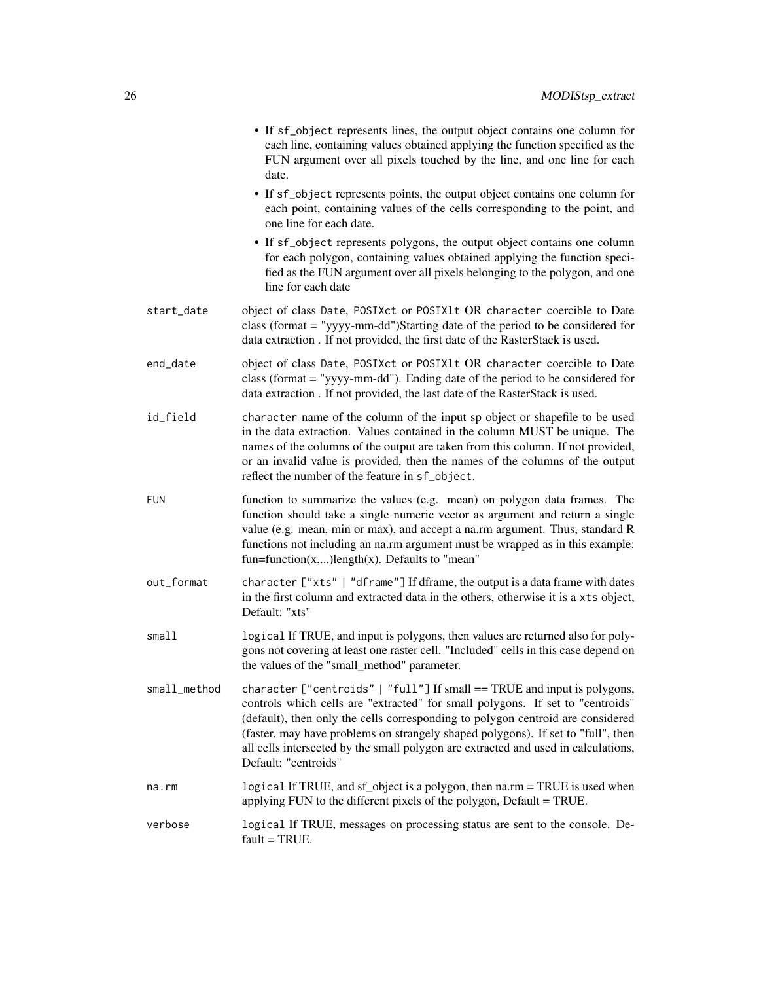|              | • If sf_object represents lines, the output object contains one column for<br>each line, containing values obtained applying the function specified as the<br>FUN argument over all pixels touched by the line, and one line for each<br>date.                                                                                                                                                                                                  |
|--------------|-------------------------------------------------------------------------------------------------------------------------------------------------------------------------------------------------------------------------------------------------------------------------------------------------------------------------------------------------------------------------------------------------------------------------------------------------|
|              | • If sf_object represents points, the output object contains one column for<br>each point, containing values of the cells corresponding to the point, and<br>one line for each date.                                                                                                                                                                                                                                                            |
|              | • If sf_object represents polygons, the output object contains one column<br>for each polygon, containing values obtained applying the function speci-<br>fied as the FUN argument over all pixels belonging to the polygon, and one<br>line for each date                                                                                                                                                                                      |
| start_date   | object of class Date, POSIXct or POSIX1t OR character coercible to Date<br>class (format = "yyyy-mm-dd")Starting date of the period to be considered for<br>data extraction. If not provided, the first date of the RasterStack is used.                                                                                                                                                                                                        |
| end_date     | object of class Date, POSIXct or POSIX1t OR character coercible to Date<br>class (format = "yyyy-mm-dd"). Ending date of the period to be considered for<br>data extraction. If not provided, the last date of the RasterStack is used.                                                                                                                                                                                                         |
| id_field     | character name of the column of the input sp object or shapefile to be used<br>in the data extraction. Values contained in the column MUST be unique. The<br>names of the columns of the output are taken from this column. If not provided,<br>or an invalid value is provided, then the names of the columns of the output<br>reflect the number of the feature in sf_object.                                                                 |
| <b>FUN</b>   | function to summarize the values (e.g. mean) on polygon data frames. The<br>function should take a single numeric vector as argument and return a single<br>value (e.g. mean, min or max), and accept a na.rm argument. Thus, standard R<br>functions not including an na.rm argument must be wrapped as in this example:<br>fun=function $(x,)$ length $(x)$ . Defaults to "mean"                                                              |
| out_format   | character ["xts"   "dframe"] If dframe, the output is a data frame with dates<br>in the first column and extracted data in the others, otherwise it is a xts object,<br>Default: "xts"                                                                                                                                                                                                                                                          |
| small1       | logical If TRUE, and input is polygons, then values are returned also for poly-<br>gons not covering at least one raster cell. "Included" cells in this case depend on<br>the values of the "small_method" parameter.                                                                                                                                                                                                                           |
| small_method | character ["centroids"   "full"] If small == TRUE and input is polygons,<br>controls which cells are "extracted" for small polygons. If set to "centroids"<br>(default), then only the cells corresponding to polygon centroid are considered<br>(faster, may have problems on strangely shaped polygons). If set to "full", then<br>all cells intersected by the small polygon are extracted and used in calculations,<br>Default: "centroids" |
| na.rm        | logical If TRUE, and sf_object is a polygon, then na.rm = TRUE is used when<br>applying FUN to the different pixels of the polygon, Default = TRUE.                                                                                                                                                                                                                                                                                             |
| verbose      | logical If TRUE, messages on processing status are sent to the console. De-<br>$fault = TRUE.$                                                                                                                                                                                                                                                                                                                                                  |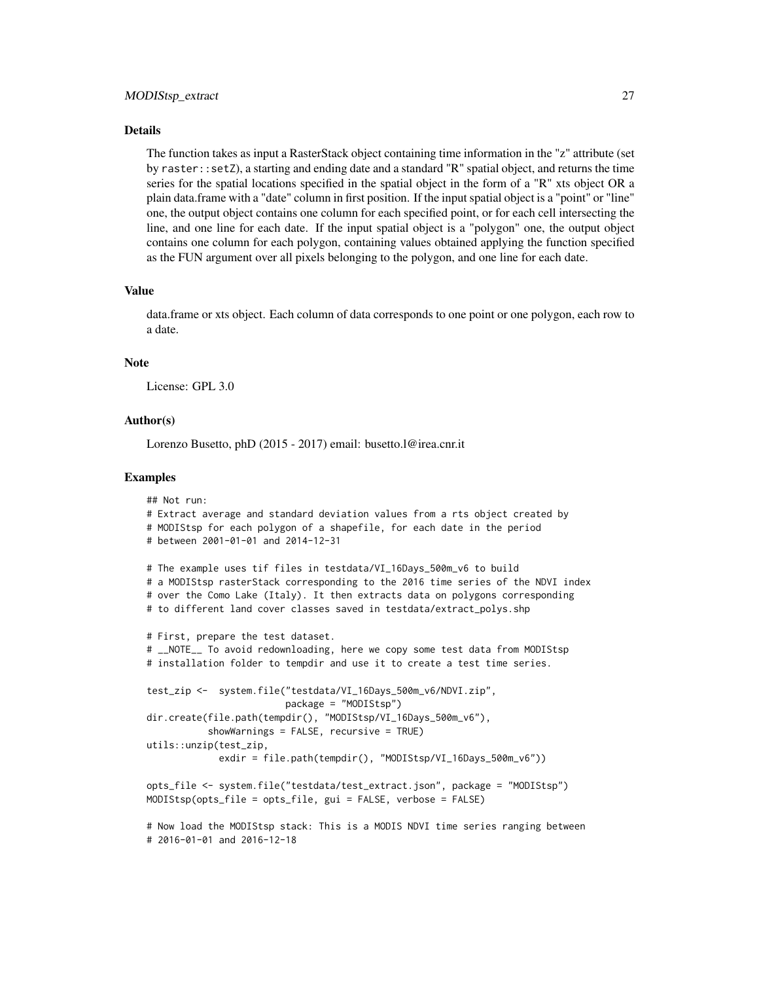#### Details

The function takes as input a RasterStack object containing time information in the "z" attribute (set by raster::setZ), a starting and ending date and a standard "R" spatial object, and returns the time series for the spatial locations specified in the spatial object in the form of a "R" xts object OR a plain data.frame with a "date" column in first position. If the input spatial object is a "point" or "line" one, the output object contains one column for each specified point, or for each cell intersecting the line, and one line for each date. If the input spatial object is a "polygon" one, the output object contains one column for each polygon, containing values obtained applying the function specified as the FUN argument over all pixels belonging to the polygon, and one line for each date.

#### Value

data.frame or xts object. Each column of data corresponds to one point or one polygon, each row to a date.

#### **Note**

License: GPL 3.0

#### Author(s)

Lorenzo Busetto, phD (2015 - 2017) email: busetto.l@irea.cnr.it

#### Examples

```
## Not run:
# Extract average and standard deviation values from a rts object created by
# MODIStsp for each polygon of a shapefile, for each date in the period
# between 2001-01-01 and 2014-12-31
# The example uses tif files in testdata/VI_16Days_500m_v6 to build
# a MODIStsp rasterStack corresponding to the 2016 time series of the NDVI index
# over the Como Lake (Italy). It then extracts data on polygons corresponding
# to different land cover classes saved in testdata/extract_polys.shp
# First, prepare the test dataset.
# __NOTE__ To avoid redownloading, here we copy some test data from MODIStsp
# installation folder to tempdir and use it to create a test time series.
test_zip <- system.file("testdata/VI_16Days_500m_v6/NDVI.zip",
                        package = "MODIStsp")
dir.create(file.path(tempdir(), "MODIStsp/VI_16Days_500m_v6"),
          showWarnings = FALSE, recursive = TRUE)
utils::unzip(test_zip,
             exdir = file.path(tempdir(), "MODIStsp/VI_16Days_500m_v6"))
opts_file <- system.file("testdata/test_extract.json", package = "MODIStsp")
MODIStsp(opts_file = opts_file, gui = FALSE, verbose = FALSE)
# Now load the MODIStsp stack: This is a MODIS NDVI time series ranging between
```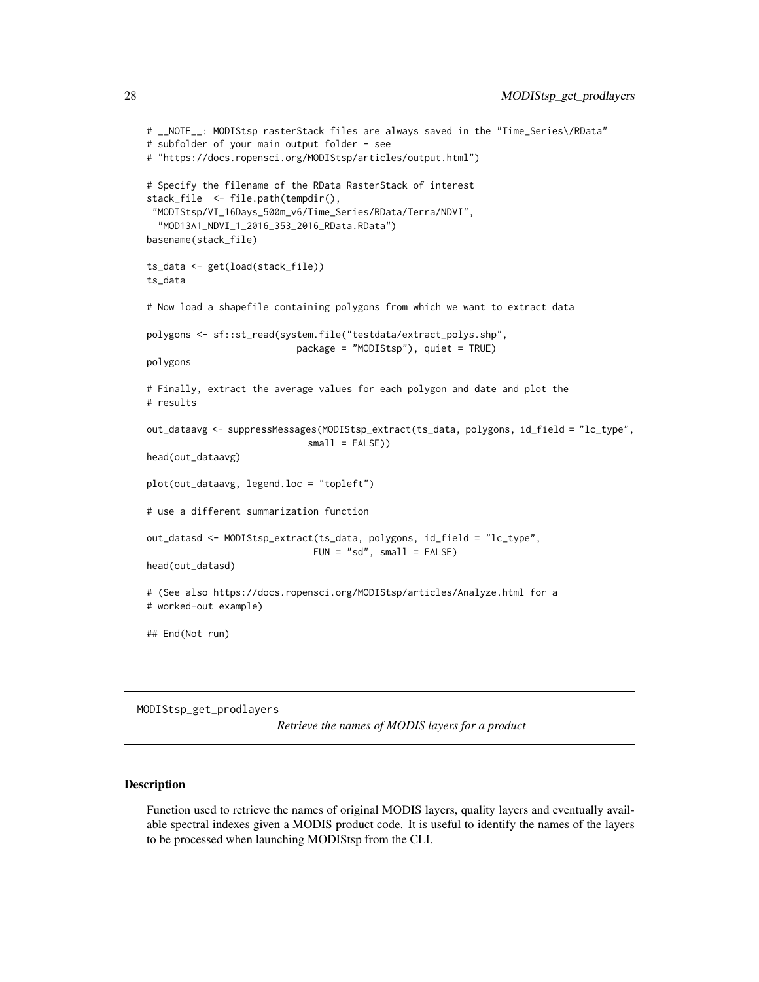```
# __NOTE__: MODIStsp rasterStack files are always saved in the "Time_Series\/RData"
# subfolder of your main output folder - see
# "https://docs.ropensci.org/MODIStsp/articles/output.html")
# Specify the filename of the RData RasterStack of interest
stack_file <- file.path(tempdir(),
"MODIStsp/VI_16Days_500m_v6/Time_Series/RData/Terra/NDVI",
  "MOD13A1_NDVI_1_2016_353_2016_RData.RData")
basename(stack_file)
ts_data <- get(load(stack_file))
ts_data
# Now load a shapefile containing polygons from which we want to extract data
polygons <- sf::st_read(system.file("testdata/extract_polys.shp",
                           package = "MODIStsp"), quiet = TRUE)
polygons
# Finally, extract the average values for each polygon and date and plot the
# results
out_dataavg <- suppressMessages(MODIStsp_extract(ts_data, polygons, id_field = "lc_type",
                             small = FALSE))
head(out_dataavg)
plot(out_dataavg, legend.loc = "topleft")
# use a different summarization function
out_datasd <- MODIStsp_extract(ts_data, polygons, id_field = "lc_type",
                              FUN = "sd", small = FALSE)head(out_datasd)
# (See also https://docs.ropensci.org/MODIStsp/articles/Analyze.html for a
# worked-out example)
## End(Not run)
```
MODIStsp\_get\_prodlayers

*Retrieve the names of MODIS layers for a product*

#### Description

Function used to retrieve the names of original MODIS layers, quality layers and eventually available spectral indexes given a MODIS product code. It is useful to identify the names of the layers to be processed when launching MODIStsp from the CLI.

<span id="page-27-0"></span>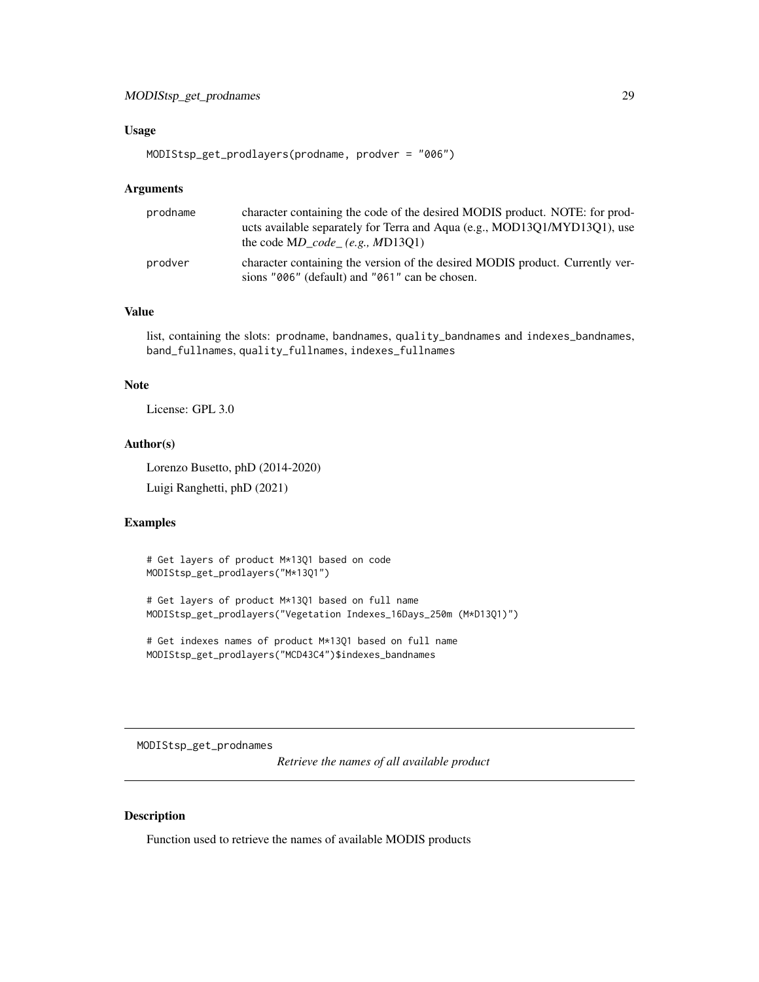# <span id="page-28-0"></span>MODIStsp\_get\_prodnames 29

#### Usage

MODIStsp\_get\_prodlayers(prodname, prodver = "006")

#### **Arguments**

| prodname | character containing the code of the desired MODIS product. NOTE: for prod-<br>ucts available separately for Terra and Aqua (e.g., MOD13Q1/MYD13Q1), use<br>the code $MD$ code (e.g., MD13O1) |
|----------|-----------------------------------------------------------------------------------------------------------------------------------------------------------------------------------------------|
| prodver  | character containing the version of the desired MODIS product. Currently ver-<br>sions "006" (default) and "061" can be chosen.                                                               |

# Value

list, containing the slots: prodname, bandnames, quality\_bandnames and indexes\_bandnames, band\_fullnames, quality\_fullnames, indexes\_fullnames

#### Note

License: GPL 3.0

# Author(s)

Lorenzo Busetto, phD (2014-2020)

Luigi Ranghetti, phD (2021)

#### Examples

# Get layers of product M\*13Q1 based on code MODIStsp\_get\_prodlayers("M\*13Q1")

# Get layers of product M\*13Q1 based on full name MODIStsp\_get\_prodlayers("Vegetation Indexes\_16Days\_250m (M\*D13Q1)")

# Get indexes names of product M\*13Q1 based on full name MODIStsp\_get\_prodlayers("MCD43C4")\$indexes\_bandnames

MODIStsp\_get\_prodnames

*Retrieve the names of all available product*

# Description

Function used to retrieve the names of available MODIS products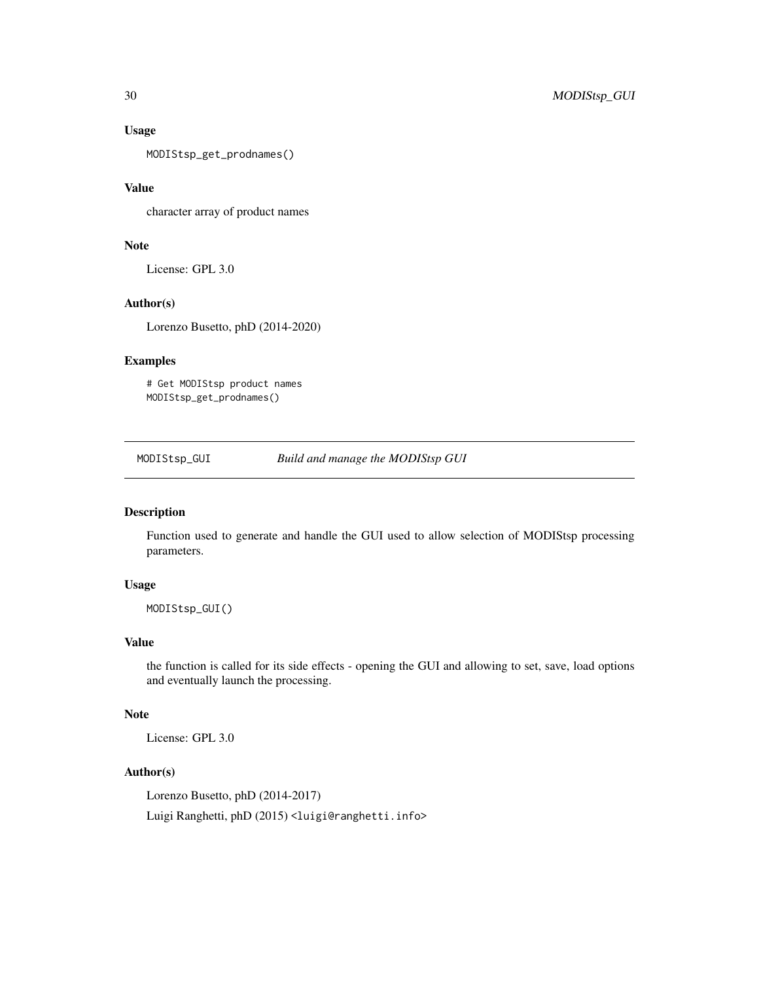#### Usage

MODIStsp\_get\_prodnames()

# Value

character array of product names

# Note

License: GPL 3.0

# Author(s)

Lorenzo Busetto, phD (2014-2020)

# Examples

# Get MODIStsp product names MODIStsp\_get\_prodnames()

<span id="page-29-1"></span>MODIStsp\_GUI *Build and manage the MODIStsp GUI*

# Description

Function used to generate and handle the GUI used to allow selection of MODIStsp processing parameters.

#### Usage

MODIStsp\_GUI()

# Value

the function is called for its side effects - opening the GUI and allowing to set, save, load options and eventually launch the processing.

## Note

License: GPL 3.0

# Author(s)

Lorenzo Busetto, phD (2014-2017)

Luigi Ranghetti, phD (2015) <luigi@ranghetti.info>

<span id="page-29-0"></span>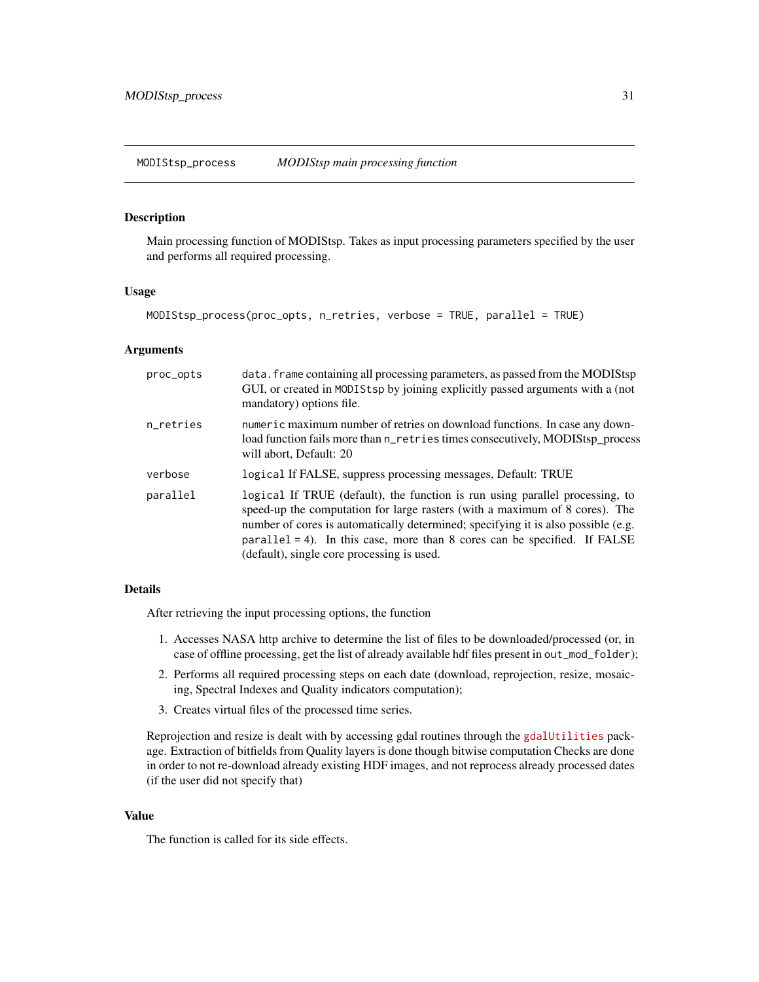# <span id="page-30-1"></span><span id="page-30-0"></span>Description

Main processing function of MODIStsp. Takes as input processing parameters specified by the user and performs all required processing.

#### Usage

```
MODIStsp_process(proc_opts, n_retries, verbose = TRUE, parallel = TRUE)
```
#### Arguments

| proc_opts | data. frame containing all processing parameters, as passed from the MODIStsp<br>GUI, or created in MODIStsp by joining explicitly passed arguments with a (not<br>mandatory) options file.                                                                                                                                                                                           |
|-----------|---------------------------------------------------------------------------------------------------------------------------------------------------------------------------------------------------------------------------------------------------------------------------------------------------------------------------------------------------------------------------------------|
| n_retries | numeric maximum number of retries on download functions. In case any down-<br>load function fails more than n_retries times consecutively, MODIStsp_process<br>will abort, Default: 20                                                                                                                                                                                                |
| verbose   | logical If FALSE, suppress processing messages, Default: TRUE                                                                                                                                                                                                                                                                                                                         |
| parallel  | logical If TRUE (default), the function is run using parallel processing, to<br>speed-up the computation for large rasters (with a maximum of 8 cores). The<br>number of cores is automatically determined; specifying it is also possible (e.g.<br>$\text{parallel} = 4$ ). In this case, more than 8 cores can be specified. If FALSE<br>(default), single core processing is used. |

#### Details

After retrieving the input processing options, the function

- 1. Accesses NASA http archive to determine the list of files to be downloaded/processed (or, in case of offline processing, get the list of already available hdf files present in out\_mod\_folder);
- 2. Performs all required processing steps on each date (download, reprojection, resize, mosaicing, Spectral Indexes and Quality indicators computation);
- 3. Creates virtual files of the processed time series.

Reprojection and resize is dealt with by accessing gdal routines through the [gdalUtilities](https://CRAN.R-project.org/package=gdalUtilities) package. Extraction of bitfields from Quality layers is done though bitwise computation Checks are done in order to not re-download already existing HDF images, and not reprocess already processed dates (if the user did not specify that)

#### Value

The function is called for its side effects.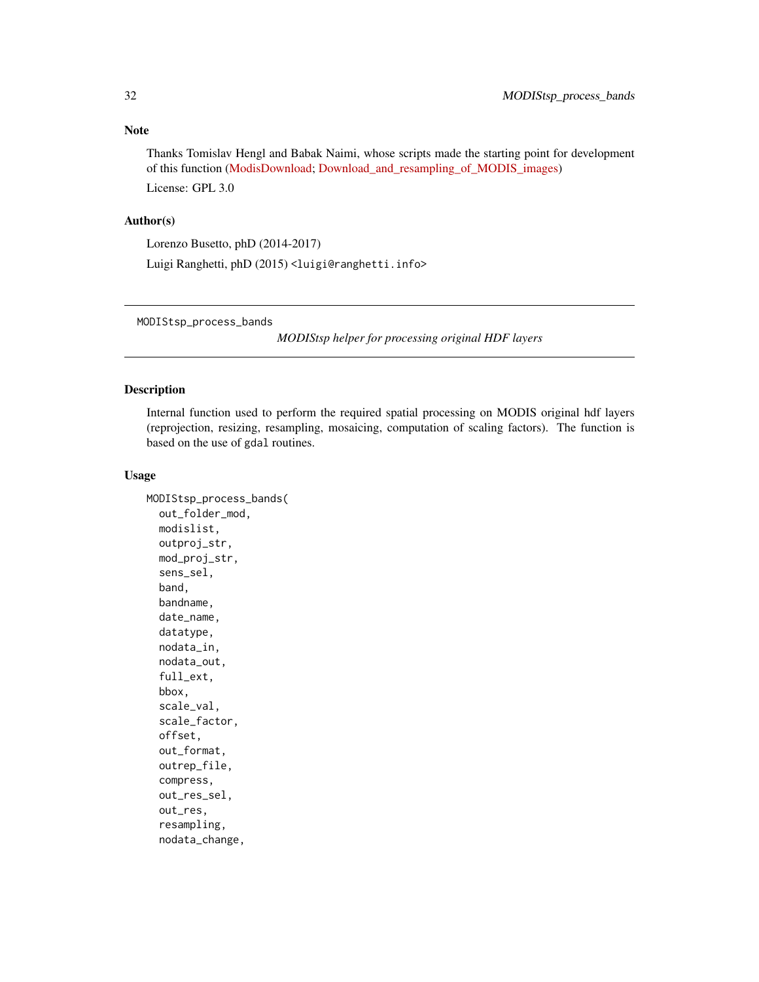# <span id="page-31-0"></span>Note

Thanks Tomislav Hengl and Babak Naimi, whose scripts made the starting point for development of this function [\(ModisDownload;](http://r-gis.net/?q=ModisDownload) [Download\\_and\\_resampling\\_of\\_MODIS\\_images\)](https://en.wikipedia.org/wiki/Regression-kriging?title=Download_and_resampling_of_MODIS_images) License: GPL 3.0

#### Author(s)

Lorenzo Busetto, phD (2014-2017)

Luigi Ranghetti, phD (2015) <luigi@ranghetti.info>

MODIStsp\_process\_bands

*MODIStsp helper for processing original HDF layers*

# Description

Internal function used to perform the required spatial processing on MODIS original hdf layers (reprojection, resizing, resampling, mosaicing, computation of scaling factors). The function is based on the use of gdal routines.

# Usage

```
MODIStsp_process_bands(
  out_folder_mod,
 modislist,
  outproj_str,
  mod_proj_str,
  sens_sel,
  band,
  bandname,
  date_name,
  datatype,
  nodata_in,
  nodata_out,
  full_ext,
  bbox,
  scale_val,
  scale_factor,
  offset,
  out_format,
  outrep_file,
  compress,
  out_res_sel,
  out_res,
  resampling,
  nodata_change,
```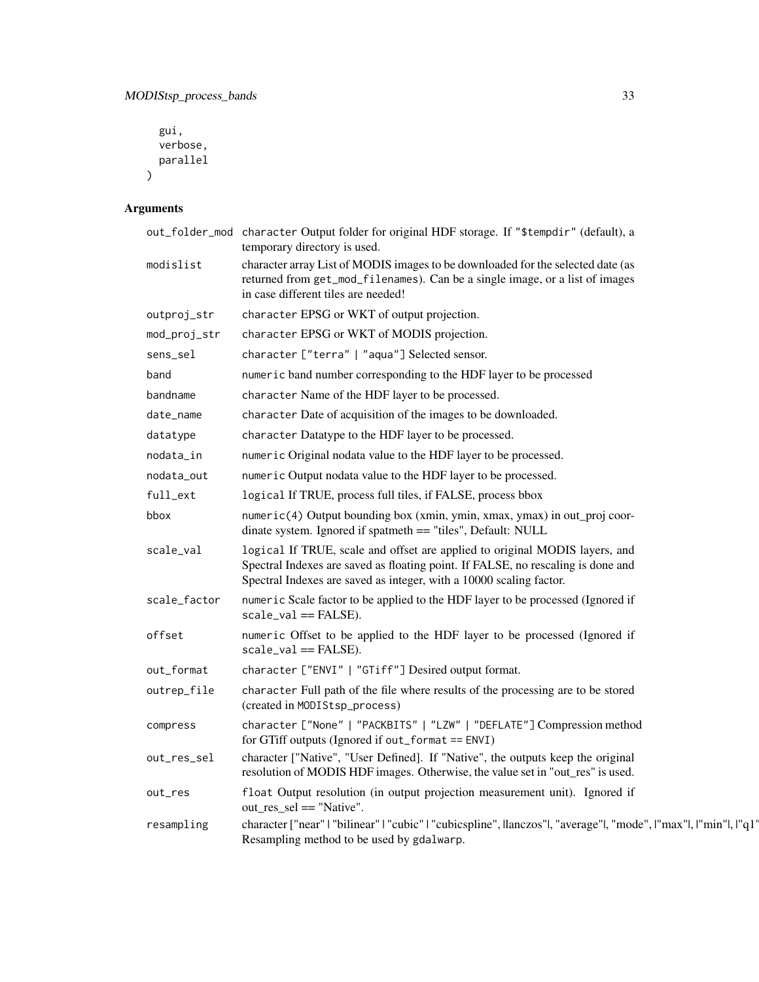```
gui,
  verbose,
  parallel
\mathcal{L}
```
# Arguments

|              | out_folder_mod character Output folder for original HDF storage. If "\$tempdir" (default), a<br>temporary directory is used.                                                                                                           |
|--------------|----------------------------------------------------------------------------------------------------------------------------------------------------------------------------------------------------------------------------------------|
| modislist    | character array List of MODIS images to be downloaded for the selected date (as<br>returned from get_mod_filenames). Can be a single image, or a list of images<br>in case different tiles are needed!                                 |
| outproj_str  | character EPSG or WKT of output projection.                                                                                                                                                                                            |
| mod_proj_str | character EPSG or WKT of MODIS projection.                                                                                                                                                                                             |
| sens_sel     | character ["terra"   "aqua"] Selected sensor.                                                                                                                                                                                          |
| band         | numeric band number corresponding to the HDF layer to be processed                                                                                                                                                                     |
| bandname     | character Name of the HDF layer to be processed.                                                                                                                                                                                       |
| date_name    | character Date of acquisition of the images to be downloaded.                                                                                                                                                                          |
| datatype     | character Datatype to the HDF layer to be processed.                                                                                                                                                                                   |
| nodata_in    | numeric Original nodata value to the HDF layer to be processed.                                                                                                                                                                        |
| nodata_out   | numeric Output nodata value to the HDF layer to be processed.                                                                                                                                                                          |
| full_ext     | logical If TRUE, process full tiles, if FALSE, process bbox                                                                                                                                                                            |
| bbox         | numeric(4) Output bounding box (xmin, ymin, xmax, ymax) in out_proj coor-<br>dinate system. Ignored if spatmeth == "tiles", Default: NULL                                                                                              |
| scale_val    | logical If TRUE, scale and offset are applied to original MODIS layers, and<br>Spectral Indexes are saved as floating point. If FALSE, no rescaling is done and<br>Spectral Indexes are saved as integer, with a 10000 scaling factor. |
| scale_factor | numeric Scale factor to be applied to the HDF layer to be processed (Ignored if<br>$scale_val == FALSE).$                                                                                                                              |
| offset       | numeric Offset to be applied to the HDF layer to be processed (Ignored if<br>$scale_val == FALSE).$                                                                                                                                    |
| out_format   | character ["ENVI"   "GTiff"] Desired output format.                                                                                                                                                                                    |
| outrep_file  | character Full path of the file where results of the processing are to be stored<br>(created in MODIStsp_process)                                                                                                                      |
| compress     | character ["None"   "PACKBITS"   "LZW"   "DEFLATE"] Compression method<br>for GTiff outputs (Ignored if out_format == $ENVI$ )                                                                                                         |
| out_res_sel  | character ["Native", "User Defined]. If "Native", the outputs keep the original<br>resolution of MODIS HDF images. Otherwise, the value set in "out_res" is used.                                                                      |
| out_res      | float Output resolution (in output projection measurement unit). Ignored if<br>out_res_sel == "Native".                                                                                                                                |
| resampling   | character ["near"   "bilinear"   "cubic"   "cubicspline", llanczos" , "average" , "mode",   "max" ,   "min" ,   "q1'<br>Resampling method to be used by gdalwarp.                                                                      |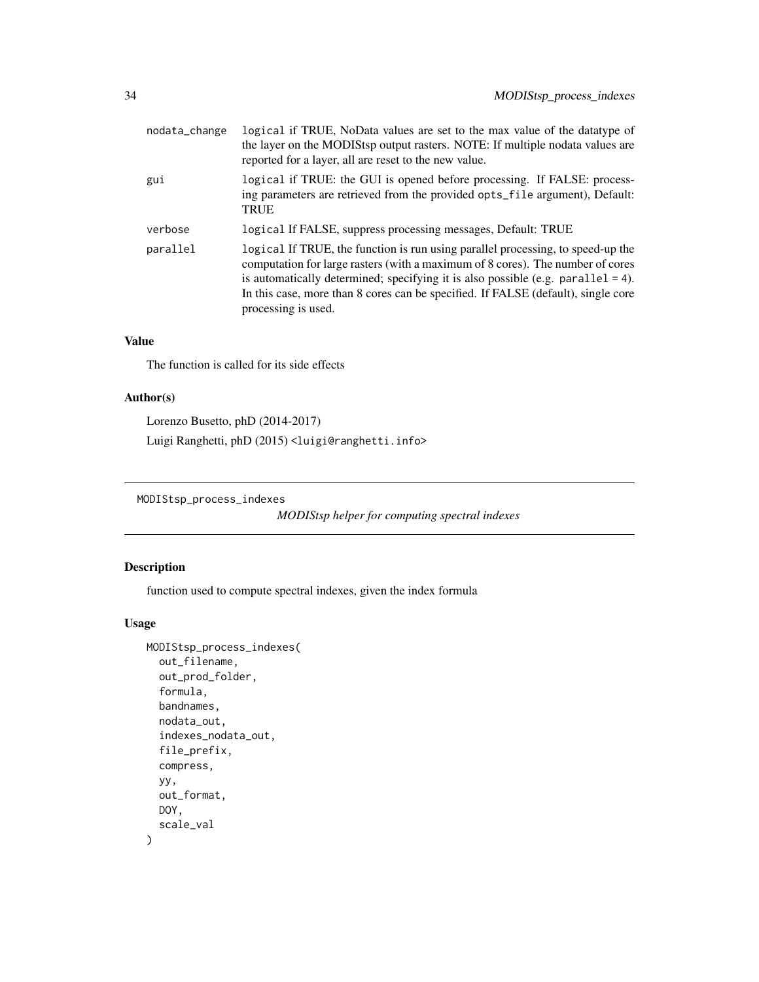<span id="page-33-0"></span>

| nodata_change | logical if TRUE, NoData values are set to the max value of the datatype of<br>the layer on the MODIStsp output rasters. NOTE: If multiple nodata values are<br>reported for a layer, all are reset to the new value.                                                                                                                                                 |
|---------------|----------------------------------------------------------------------------------------------------------------------------------------------------------------------------------------------------------------------------------------------------------------------------------------------------------------------------------------------------------------------|
| gui           | logical if TRUE: the GUI is opened before processing. If FALSE: process-<br>ing parameters are retrieved from the provided opts_file argument), Default:<br><b>TRUE</b>                                                                                                                                                                                              |
| verbose       | logical If FALSE, suppress processing messages, Default: TRUE                                                                                                                                                                                                                                                                                                        |
| parallel      | logical If TRUE, the function is run using parallel processing, to speed-up the<br>computation for large rasters (with a maximum of 8 cores). The number of cores<br>is automatically determined; specifying it is also possible (e.g. parallel $= 4$ ).<br>In this case, more than 8 cores can be specified. If FALSE (default), single core<br>processing is used. |

# Value

The function is called for its side effects

# Author(s)

Lorenzo Busetto, phD (2014-2017) Luigi Ranghetti, phD (2015) <luigi@ranghetti.info>

MODIStsp\_process\_indexes

*MODIStsp helper for computing spectral indexes*

# Description

function used to compute spectral indexes, given the index formula

# Usage

```
MODIStsp_process_indexes(
  out_filename,
  out_prod_folder,
  formula,
  bandnames,
  nodata_out,
  indexes_nodata_out,
  file_prefix,
  compress,
 yy,
  out_format,
 DOY,
  scale_val
)
```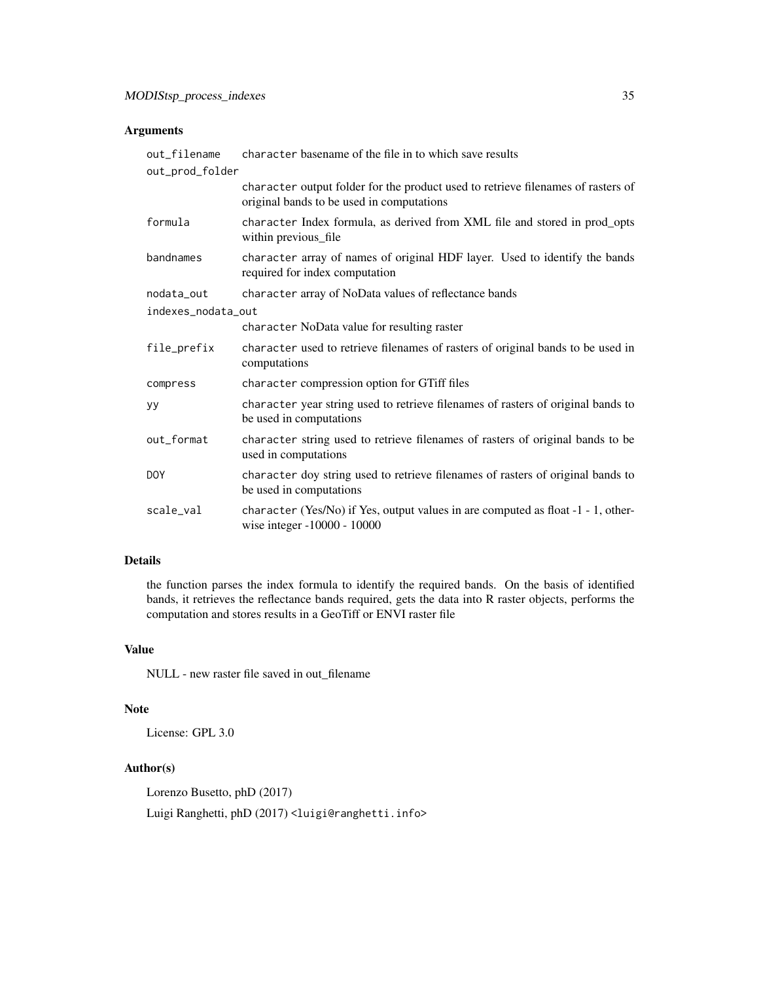# Arguments

| out_filename<br>out_prod_folder | character basename of the file in to which save results                                                                       |
|---------------------------------|-------------------------------------------------------------------------------------------------------------------------------|
|                                 | character output folder for the product used to retrieve filenames of rasters of<br>original bands to be used in computations |
| formula                         | character Index formula, as derived from XML file and stored in prod_opts<br>within previous_file                             |
| bandnames                       | character array of names of original HDF layer. Used to identify the bands<br>required for index computation                  |
| nodata_out                      | character array of NoData values of reflectance bands                                                                         |
| indexes_nodata_out              |                                                                                                                               |
|                                 | character NoData value for resulting raster                                                                                   |
| file_prefix                     | character used to retrieve filenames of rasters of original bands to be used in<br>computations                               |
| compress                        | character compression option for GTiff files                                                                                  |
| yу                              | character year string used to retrieve filenames of rasters of original bands to<br>be used in computations                   |
| out_format                      | character string used to retrieve filenames of rasters of original bands to be<br>used in computations                        |
| <b>DOY</b>                      | character doy string used to retrieve filenames of rasters of original bands to<br>be used in computations                    |
| scale_val                       | character (Yes/No) if Yes, output values in are computed as float -1 - 1, other-<br>wise integer -10000 - 10000               |

# Details

the function parses the index formula to identify the required bands. On the basis of identified bands, it retrieves the reflectance bands required, gets the data into R raster objects, performs the computation and stores results in a GeoTiff or ENVI raster file

# Value

NULL - new raster file saved in out\_filename

# Note

License: GPL 3.0

# Author(s)

Lorenzo Busetto, phD (2017)

Luigi Ranghetti, phD (2017) <luigi@ranghetti.info>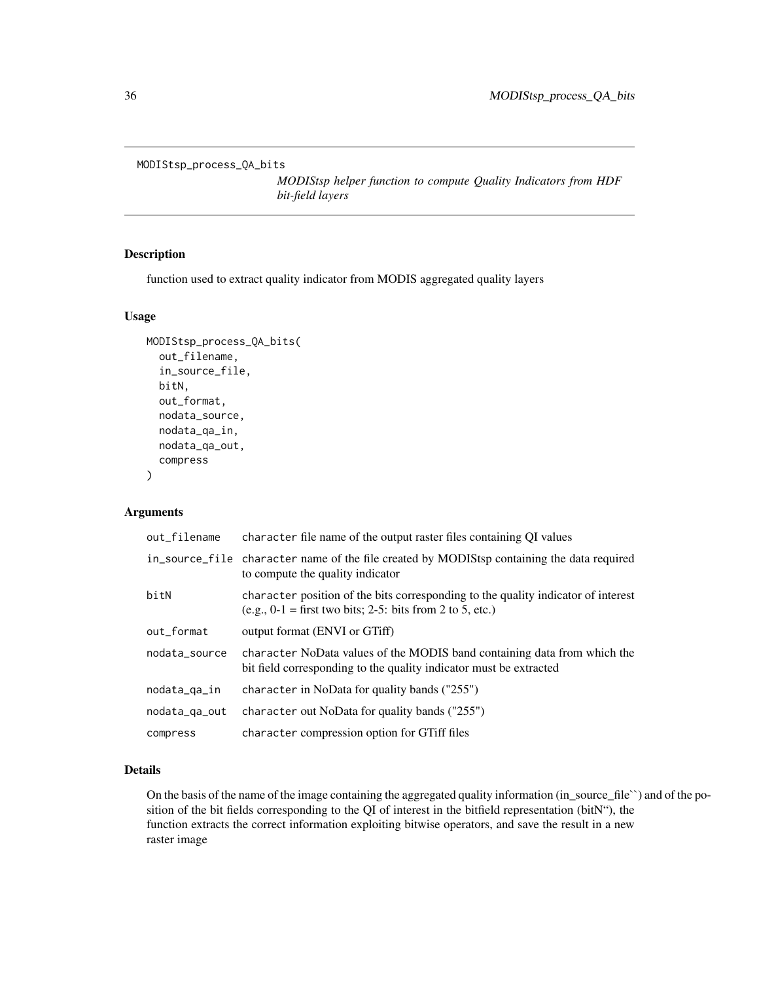```
MODIStsp_process_QA_bits
```
*MODIStsp helper function to compute Quality Indicators from HDF bit-field layers*

# Description

function used to extract quality indicator from MODIS aggregated quality layers

#### Usage

```
MODIStsp_process_QA_bits(
  out_filename,
  in_source_file,
  bitN,
  out_format,
  nodata_source,
  nodata_qa_in,
  nodata_qa_out,
  compress
)
```
# Arguments

| out_filename  | character file name of the output raster files containing QI values                                                                              |
|---------------|--------------------------------------------------------------------------------------------------------------------------------------------------|
|               | in_source_file character name of the file created by MODIStsp containing the data required<br>to compute the quality indicator                   |
| bitN          | character position of the bits corresponding to the quality indicator of interest<br>$(e.g., 0-1 = first two bits; 2-5: bits from 2 to 5, etc.)$ |
| out_format    | output format (ENVI or GTiff)                                                                                                                    |
| nodata source | character NoData values of the MODIS band containing data from which the<br>bit field corresponding to the quality indicator must be extracted   |
| nodata_qa_in  | character in NoData for quality bands ("255")                                                                                                    |
| nodata_qa_out | character out NoData for quality bands ("255")                                                                                                   |
| compress      | character compression option for GTiff files                                                                                                     |

# Details

On the basis of the name of the image containing the aggregated quality information (in\_source\_file``) and of the position of the bit fields corresponding to the QI of interest in the bitfield representation (bitN"), the function extracts the correct information exploiting bitwise operators, and save the result in a new raster image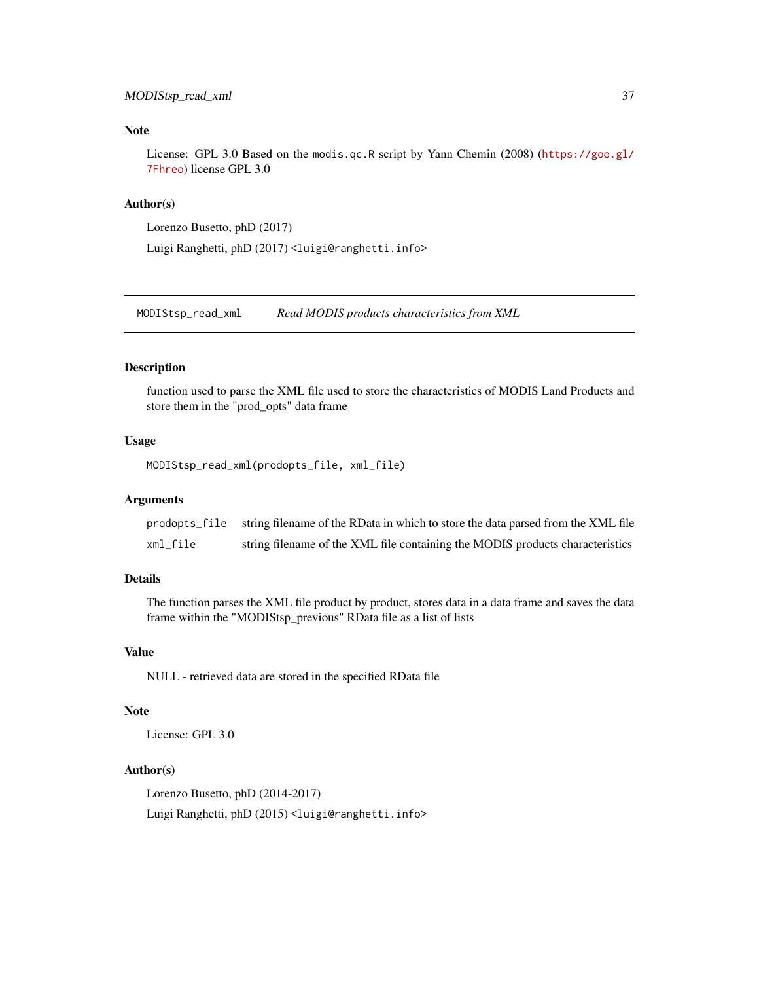# <span id="page-36-0"></span>Note

License: GPL 3.0 Based on the modis.qc.R script by Yann Chemin (2008) ([https://goo.gl/](https://goo.gl/7Fhreo) [7Fhreo](https://goo.gl/7Fhreo)) license GPL 3.0

# Author(s)

```
Lorenzo Busetto, phD (2017)
```
Luigi Ranghetti, phD (2017) <luigi@ranghetti.info>

MODIStsp\_read\_xml *Read MODIS products characteristics from XML*

#### Description

function used to parse the XML file used to store the characteristics of MODIS Land Products and store them in the "prod\_opts" data frame

#### Usage

```
MODIStsp_read_xml(prodopts_file, xml_file)
```
#### Arguments

| prodopts_file | string filename of the RData in which to store the data parsed from the XML file |
|---------------|----------------------------------------------------------------------------------|
| xml_file      | string filename of the XML file containing the MODIS products characteristics    |

# Details

The function parses the XML file product by product, stores data in a data frame and saves the data frame within the "MODIStsp\_previous" RData file as a list of lists

# Value

NULL - retrieved data are stored in the specified RData file

#### Note

License: GPL 3.0

# Author(s)

Lorenzo Busetto, phD (2014-2017)

Luigi Ranghetti, phD (2015) <luigi@ranghetti.info>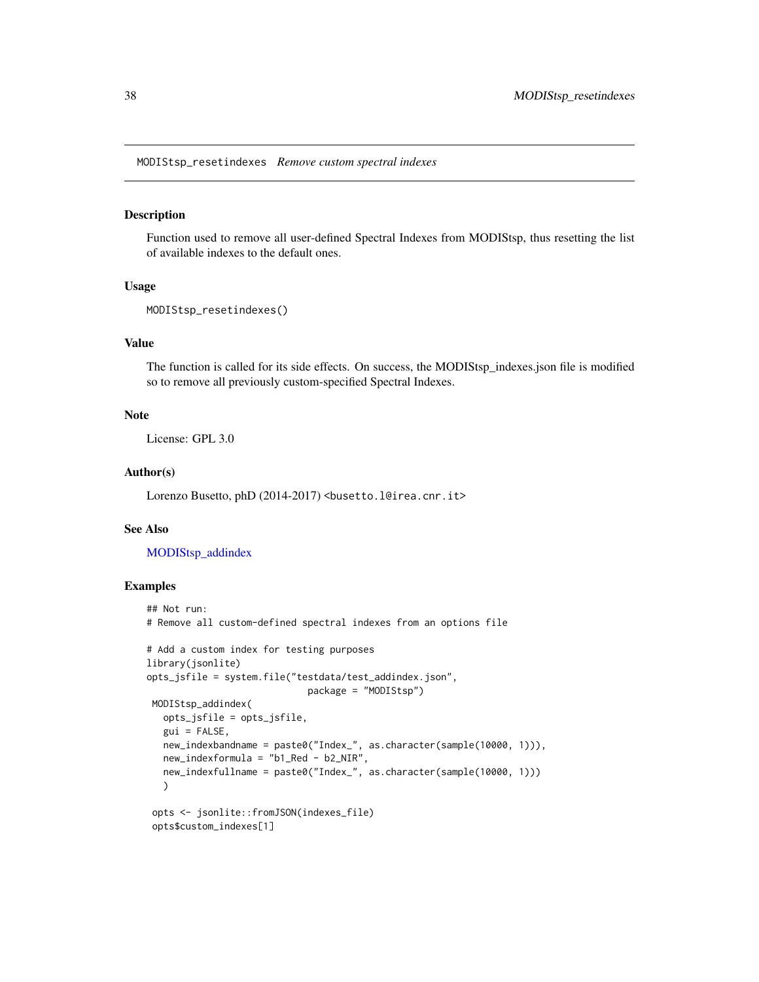<span id="page-37-1"></span><span id="page-37-0"></span>MODIStsp\_resetindexes *Remove custom spectral indexes*

#### Description

Function used to remove all user-defined Spectral Indexes from MODIStsp, thus resetting the list of available indexes to the default ones.

# Usage

```
MODIStsp_resetindexes()
```
#### Value

The function is called for its side effects. On success, the MODIStsp\_indexes.json file is modified so to remove all previously custom-specified Spectral Indexes.

# Note

License: GPL 3.0

# Author(s)

Lorenzo Busetto, phD (2014-2017) <br/>busetto.l@irea.cnr.it>

#### See Also

[MODIStsp\\_addindex](#page-21-1)

#### Examples

```
## Not run:
# Remove all custom-defined spectral indexes from an options file
# Add a custom index for testing purposes
library(jsonlite)
opts_jsfile = system.file("testdata/test_addindex.json",
                             package = "MODIStsp")
MODIStsp_addindex(
  opts_jsfile = opts_jsfile,
  gui = FALSE,
  new_indexbandname = paste0("Index_", as.character(sample(10000, 1))),
  new_indexformula = "b1_Red - b2_NIR",
  new_indexfullname = paste0("Index_", as.character(sample(10000, 1)))
  )
opts <- jsonlite::fromJSON(indexes_file)
 opts$custom_indexes[1]
```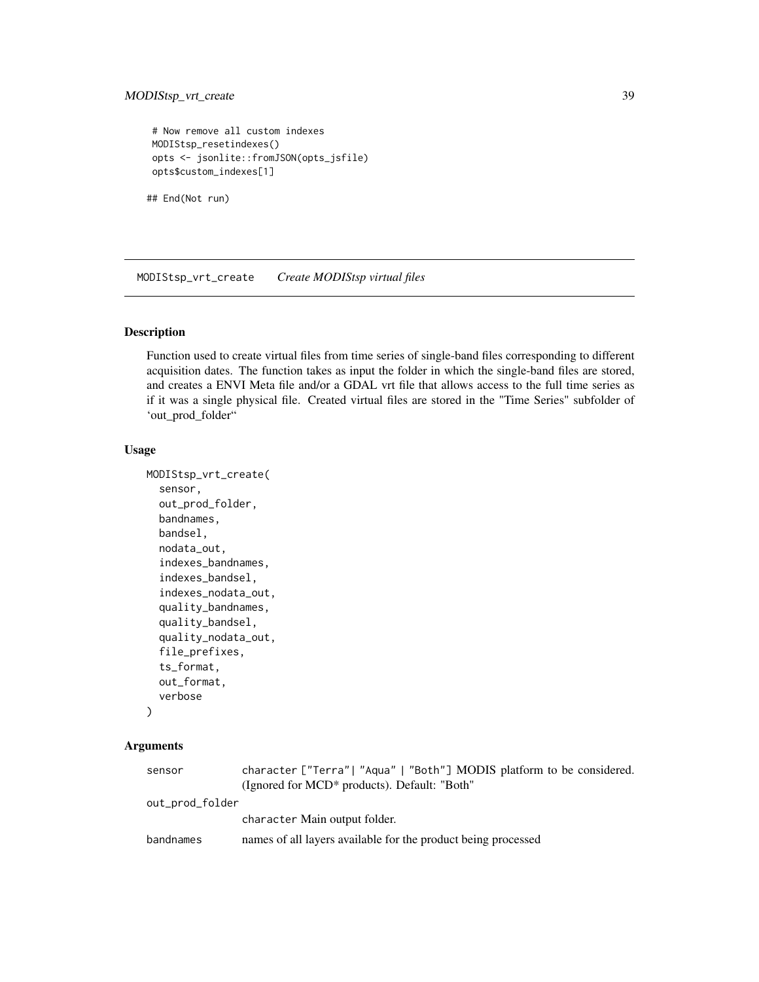```
# Now remove all custom indexes
MODIStsp_resetindexes()
opts <- jsonlite::fromJSON(opts_jsfile)
opts$custom_indexes[1]
```
## End(Not run)

MODIStsp\_vrt\_create *Create MODIStsp virtual files*

#### Description

Function used to create virtual files from time series of single-band files corresponding to different acquisition dates. The function takes as input the folder in which the single-band files are stored, and creates a ENVI Meta file and/or a GDAL vrt file that allows access to the full time series as if it was a single physical file. Created virtual files are stored in the "Time Series" subfolder of 'out\_prod\_folder"

# Usage

```
MODIStsp_vrt_create(
  sensor,
  out_prod_folder,
 bandnames,
  bandsel,
  nodata_out,
  indexes_bandnames,
  indexes_bandsel,
  indexes_nodata_out,
  quality_bandnames,
  quality_bandsel,
  quality_nodata_out,
  file_prefixes,
  ts_format,
  out_format,
  verbose
```
# )

# Arguments

| sensor          | character ["Terra"  "Aqua"   "Both"] MODIS platform to be considered.<br>(Ignored for MCD <sup>*</sup> products). Default: "Both" |
|-----------------|-----------------------------------------------------------------------------------------------------------------------------------|
| out_prod_folder |                                                                                                                                   |
|                 | character Main output folder.                                                                                                     |
| bandnames       | names of all layers available for the product being processed                                                                     |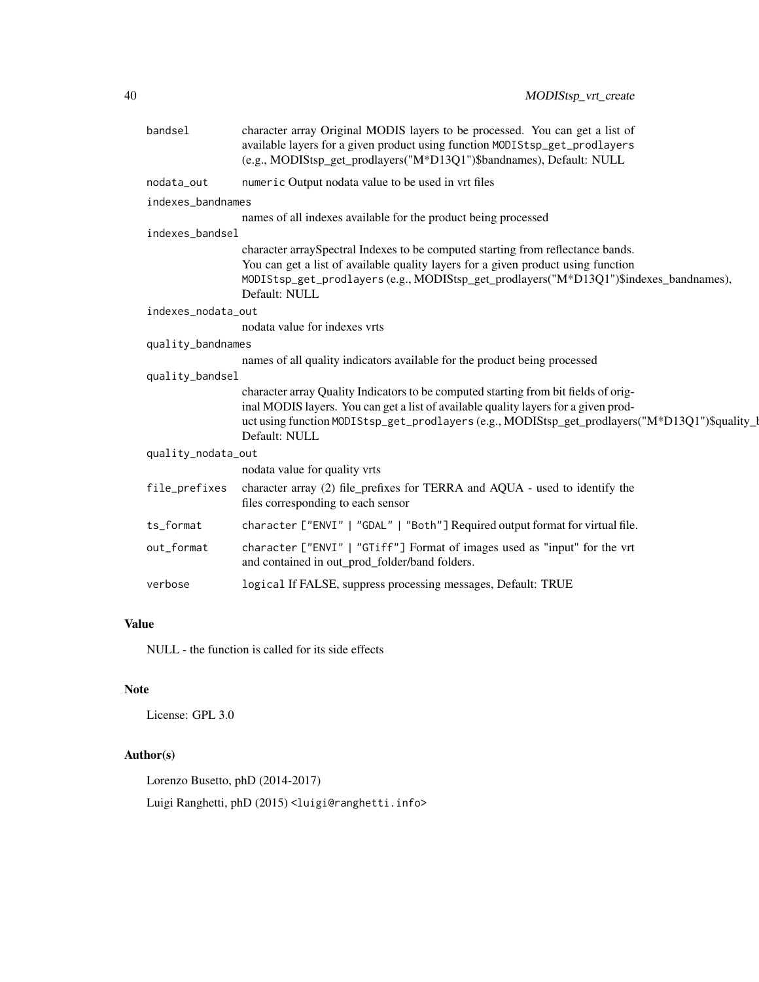| character array Original MODIS layers to be processed. You can get a list of<br>available layers for a given product using function MODIStsp_get_prodlayers<br>(e.g., MODIStsp_get_prodlayers("M*D13Q1")\$bandnames), Default: NULL                                                            |
|------------------------------------------------------------------------------------------------------------------------------------------------------------------------------------------------------------------------------------------------------------------------------------------------|
| numeric Output nodata value to be used in vrt files                                                                                                                                                                                                                                            |
| indexes_bandnames                                                                                                                                                                                                                                                                              |
| names of all indexes available for the product being processed                                                                                                                                                                                                                                 |
| indexes_bandsel                                                                                                                                                                                                                                                                                |
| character arraySpectral Indexes to be computed starting from reflectance bands.<br>You can get a list of available quality layers for a given product using function<br>MODIStsp_get_prodlayers(e.g., MODIStsp_get_prodlayers("M*D13Q1")\$indexes_bandnames),<br>Default: NULL                 |
| indexes_nodata_out                                                                                                                                                                                                                                                                             |
| nodata value for indexes vrts                                                                                                                                                                                                                                                                  |
| quality_bandnames                                                                                                                                                                                                                                                                              |
| names of all quality indicators available for the product being processed                                                                                                                                                                                                                      |
| quality_bandsel                                                                                                                                                                                                                                                                                |
| character array Quality Indicators to be computed starting from bit fields of orig-<br>inal MODIS layers. You can get a list of available quality layers for a given prod-<br>uct using function MODIStsp_get_prodlayers (e.g., MODIStsp_get_prodlayers("M*D13Q1")\$quality_l<br>Default: NULL |
| quality_nodata_out                                                                                                                                                                                                                                                                             |
| nodata value for quality vrts                                                                                                                                                                                                                                                                  |
| character array (2) file_prefixes for TERRA and AQUA - used to identify the<br>files corresponding to each sensor                                                                                                                                                                              |
| character ["ENVI"   "GDAL"   "Both"] Required output format for virtual file.                                                                                                                                                                                                                  |
| character ["ENVI"   "GTiff"] Format of images used as "input" for the vrt<br>and contained in out_prod_folder/band folders.                                                                                                                                                                    |
| logical If FALSE, suppress processing messages, Default: TRUE                                                                                                                                                                                                                                  |
|                                                                                                                                                                                                                                                                                                |

# Value

NULL - the function is called for its side effects

# Note

License: GPL 3.0

# Author(s)

Lorenzo Busetto, phD (2014-2017)

Luigi Ranghetti, phD (2015) <luigi@ranghetti.info>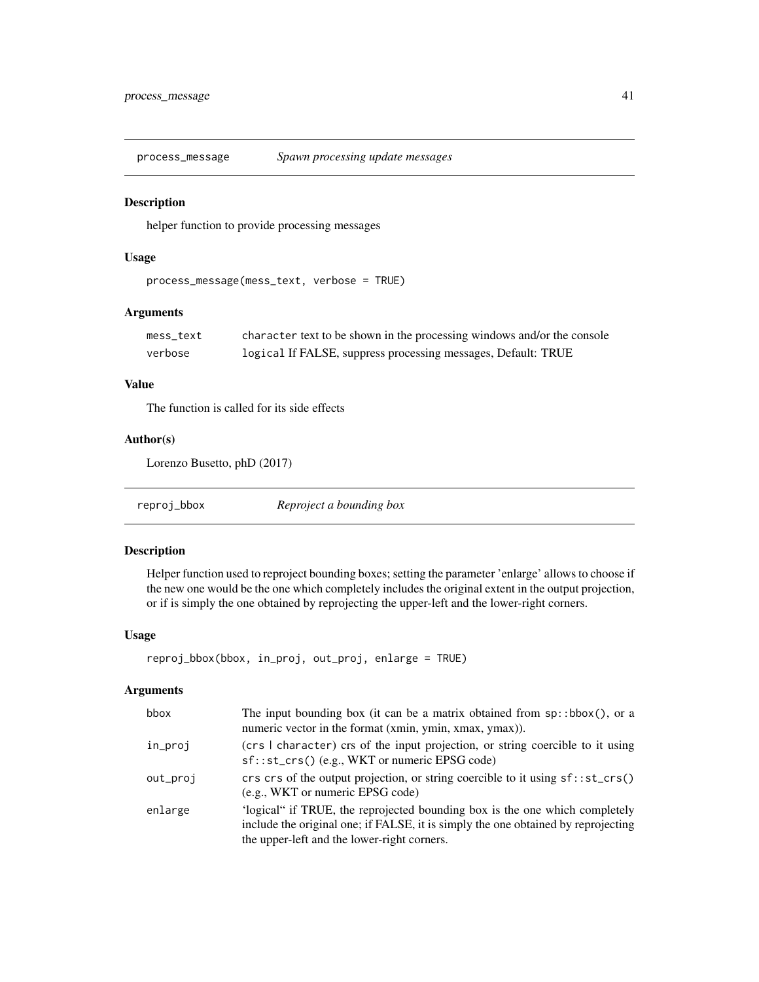<span id="page-40-0"></span>process\_message *Spawn processing update messages*

#### Description

helper function to provide processing messages

#### Usage

```
process_message(mess_text, verbose = TRUE)
```
# Arguments

| mess text | character text to be shown in the processing windows and/or the console |
|-----------|-------------------------------------------------------------------------|
| verbose   | logical If FALSE, suppress processing messages, Default: TRUE           |

#### Value

The function is called for its side effects

# Author(s)

Lorenzo Busetto, phD (2017)

| reproj_bbox | Reproject a bounding box |
|-------------|--------------------------|
|             |                          |

#### Description

Helper function used to reproject bounding boxes; setting the parameter 'enlarge' allows to choose if the new one would be the one which completely includes the original extent in the output projection, or if is simply the one obtained by reprojecting the upper-left and the lower-right corners.

#### Usage

```
reproj_bbox(bbox, in_proj, out_proj, enlarge = TRUE)
```
# Arguments

| bbox     | The input bounding box (it can be a matrix obtained from $sp::bbox()$ , or a<br>numeric vector in the format (xmin, ymin, xmax, ymax)).                                                                         |
|----------|-----------------------------------------------------------------------------------------------------------------------------------------------------------------------------------------------------------------|
| in_proj  | (crs I character) crs of the input projection, or string coercible to it using<br>$sf::st\_crs()$ (e.g., WKT or numeric EPSG code)                                                                              |
| out_proj | crs crs of the output projection, or string coercible to it using $sf::st\_crs()$<br>(e.g., WKT or numeric EPSG code)                                                                                           |
| enlarge  | 'logical" if TRUE, the reprojected bounding box is the one which completely<br>include the original one; if FALSE, it is simply the one obtained by reprojecting<br>the upper-left and the lower-right corners. |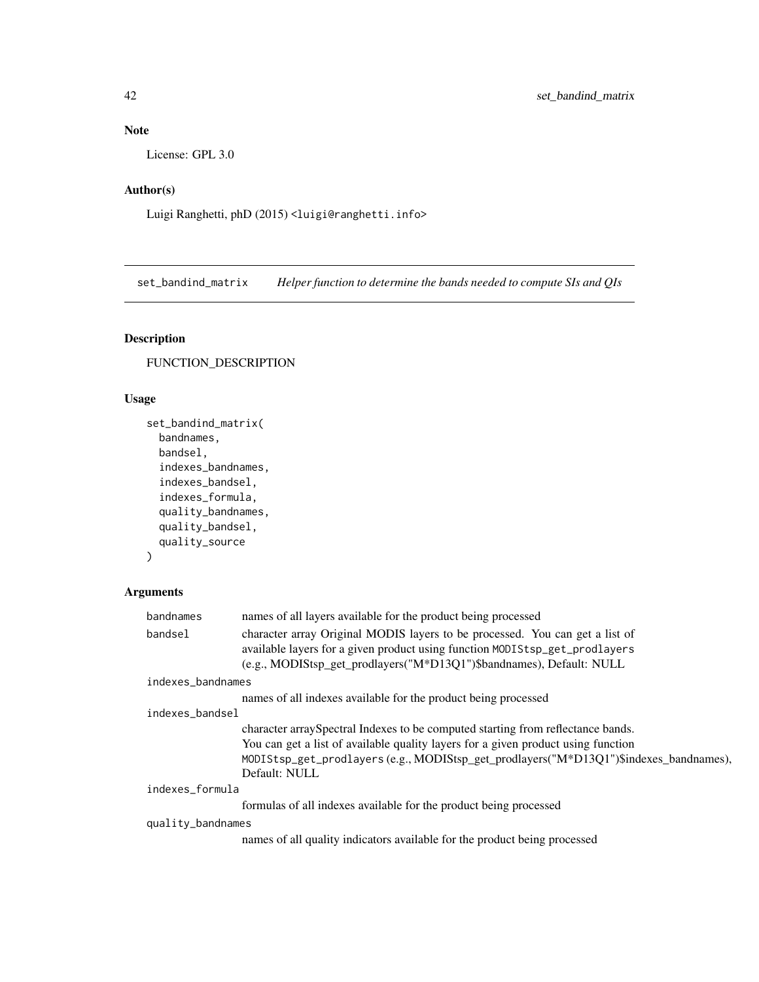# <span id="page-41-0"></span>Note

License: GPL 3.0

# Author(s)

Luigi Ranghetti, phD (2015) <luigi@ranghetti.info>

set\_bandind\_matrix *Helper function to determine the bands needed to compute SIs and QIs*

# Description

FUNCTION\_DESCRIPTION

# Usage

```
set_bandind_matrix(
 bandnames,
 bandsel,
  indexes_bandnames,
  indexes_bandsel,
  indexes_formula,
  quality_bandnames,
 quality_bandsel,
 quality_source
\mathcal{L}
```
# Arguments

| bandnames         | names of all layers available for the product being processed                          |
|-------------------|----------------------------------------------------------------------------------------|
| bandsel           | character array Original MODIS layers to be processed. You can get a list of           |
|                   | available layers for a given product using function MODIStsp_get_prodlayers            |
|                   | (e.g., MODIStsp_get_prodlayers("M*D13Q1")\$bandnames), Default: NULL                   |
| indexes_bandnames |                                                                                        |
|                   | names of all indexes available for the product being processed                         |
| indexes bandsel   |                                                                                        |
|                   | character array Spectral Indexes to be computed starting from reflectance bands.       |
|                   | You can get a list of available quality layers for a given product using function      |
|                   | MODIStsp_get_prodlayers (e.g., MODIStsp_get_prodlayers("M*D13Q1")\$indexes_bandnames), |
|                   | Default: NULL                                                                          |
| indexes_formula   |                                                                                        |
|                   | formulas of all indexes available for the product being processed                      |
| quality_bandnames |                                                                                        |
|                   | names of all quality indicators available for the product being processed              |
|                   |                                                                                        |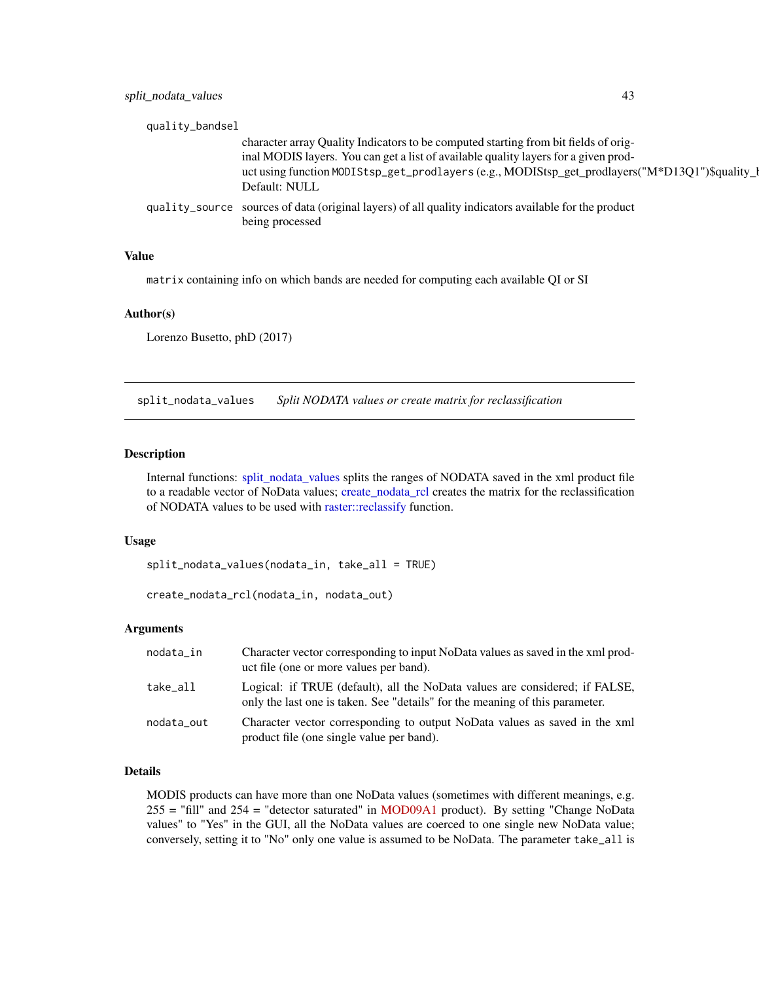<span id="page-42-0"></span>

| quality_bandsel                                                                                                         |
|-------------------------------------------------------------------------------------------------------------------------|
| character array Quality Indicators to be computed starting from bit fields of orig-                                     |
| inal MODIS layers. You can get a list of available quality layers for a given prod-                                     |
| uct using function MODIStsp_get_prodlayers (e.g., MODIStsp_get_prodlayers("M*D13Q1")\$quality_                          |
| Default: NULL                                                                                                           |
| quality_source sources of data (original layers) of all quality indicators available for the product<br>being processed |
|                                                                                                                         |

#### Value

matrix containing info on which bands are needed for computing each available QI or SI

#### Author(s)

Lorenzo Busetto, phD (2017)

<span id="page-42-1"></span>split\_nodata\_values *Split NODATA values or create matrix for reclassification*

### <span id="page-42-2"></span>Description

Internal functions: [split\\_nodata\\_values](#page-42-1) splits the ranges of NODATA saved in the xml product file to a readable vector of NoData values; [create\\_nodata\\_rcl](#page-42-2) creates the matrix for the reclassification of NODATA values to be used with [raster::reclassify](#page-0-0) function.

#### Usage

split\_nodata\_values(nodata\_in, take\_all = TRUE)

```
create_nodata_rcl(nodata_in, nodata_out)
```
#### **Arguments**

| nodata_in  | Character vector corresponding to input NoData values as saved in the xml prod-<br>uct file (one or more values per band).                                  |
|------------|-------------------------------------------------------------------------------------------------------------------------------------------------------------|
| take all   | Logical: if TRUE (default), all the NoData values are considered; if FALSE,<br>only the last one is taken. See "details" for the meaning of this parameter. |
| nodata_out | Character vector corresponding to output NoData values as saved in the xml<br>product file (one single value per band).                                     |

#### Details

MODIS products can have more than one NoData values (sometimes with different meanings, e.g. 255 = "fill" and 254 = "detector saturated" in [MOD09A1](https://nsidc.org/data/mod10a1) product). By setting "Change NoData values" to "Yes" in the GUI, all the NoData values are coerced to one single new NoData value; conversely, setting it to "No" only one value is assumed to be NoData. The parameter take\_all is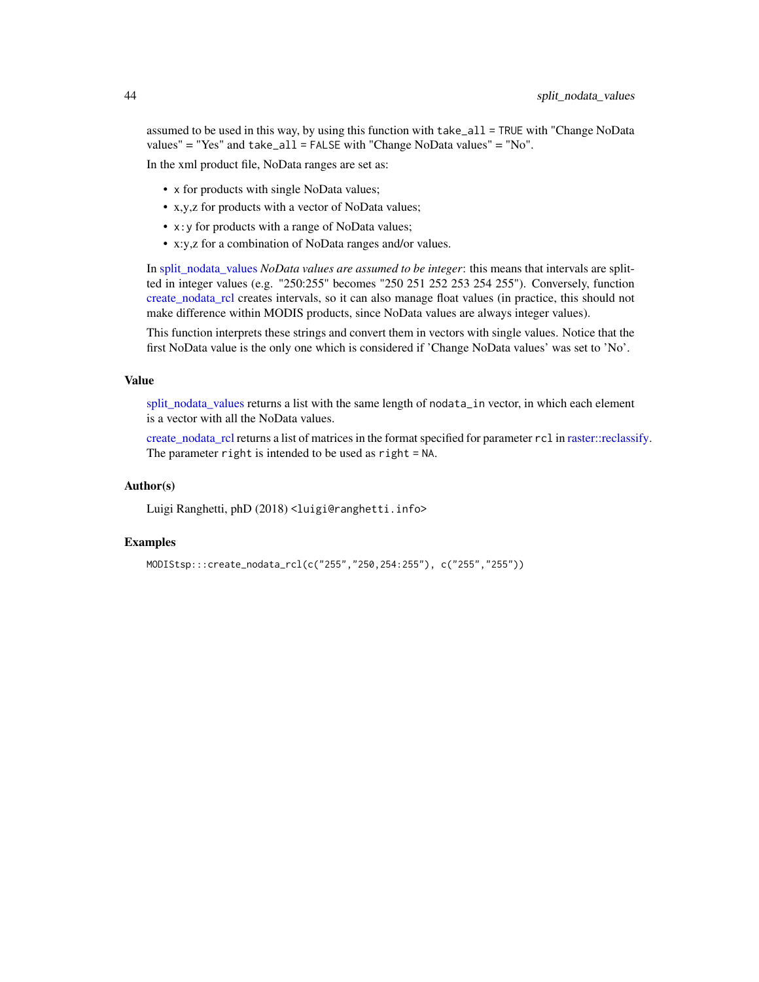<span id="page-43-0"></span>assumed to be used in this way, by using this function with take\_all = TRUE with "Change NoData values" = "Yes" and take\_all = FALSE with "Change NoData values" = "No".

In the xml product file, NoData ranges are set as:

- x for products with single NoData values;
- x,y,z for products with a vector of NoData values;
- x:y for products with a range of NoData values;
- x:y,z for a combination of NoData ranges and/or values.

In split nodata values *NoData values are assumed to be integer*: this means that intervals are splitted in integer values (e.g. "250:255" becomes "250 251 252 253 254 255"). Conversely, function [create\\_nodata\\_rcl](#page-42-2) creates intervals, so it can also manage float values (in practice, this should not make difference within MODIS products, since NoData values are always integer values).

This function interprets these strings and convert them in vectors with single values. Notice that the first NoData value is the only one which is considered if 'Change NoData values' was set to 'No'.

#### Value

[split\\_nodata\\_values](#page-42-1) returns a list with the same length of nodata\_in vector, in which each element is a vector with all the NoData values.

[create\\_nodata\\_rcl](#page-42-2) returns a list of matrices in the format specified for parameter rcl in [raster::reclassify.](#page-0-0) The parameter right is intended to be used as right = NA.

# Author(s)

Luigi Ranghetti, phD (2018) <luigi@ranghetti.info>

#### Examples

```
MODIStsp:::create_nodata_rcl(c("255","250,254:255"), c("255","255"))
```